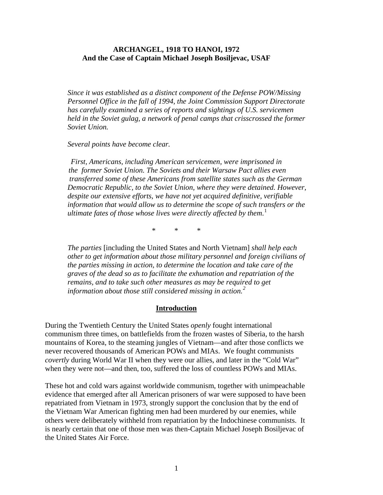#### **ARCHANGEL, 1918 TO HANOI, 1972 And the Case of Captain Michael Joseph Bosiljevac, USAF**

*Since it was established as a distinct component of the Defense POW/Missing Personnel Office in the fall of 1994, the Joint Commission Support Directorate has carefully examined a series of reports and sightings of U.S. servicemen held in the Soviet gulag, a network of penal camps that crisscrossed the former Soviet Union.* 

#### *Several points have become clear.*

*First, Americans, including American servicemen, were imprisoned in the former Soviet Union. The Soviets and their Warsaw Pact allies even transferred some of these Americans from satellite states such as the German Democratic Republic, to the Soviet Union, where they were detained. However, despite our extensive efforts, we have not yet acquired definitive, verifiable information that would allow us to determine the scope of such transfers or the ultimate fates of those whose lives were directly affected by them*. [1](#page-37-0)

\* \* \*

*The parties* [including the United States and North Vietnam] *shall help each other to get information about those military personnel and foreign civilians of the parties missing in action, to determine the location and take care of the graves of the dead so as to facilitate the exhumation and repatriation of the remains, and to take such other measures as may be required to get information about those still considered missing in action.[2](#page-37-1)*

#### **Introduction**

During the Twentieth Century the United States *openly* fought international communism three times, on battlefields from the frozen wastes of Siberia, to the harsh mountains of Korea, to the steaming jungles of Vietnam—and after those conflicts we never recovered thousands of American POWs and MIAs. We fought communists *covertly* during World War II when they were our allies, and later in the "Cold War" when they were not—and then, too, suffered the loss of countless POWs and MIAs.

These hot and cold wars against worldwide communism, together with unimpeachable evidence that emerged after all American prisoners of war were supposed to have been repatriated from Vietnam in 1973, strongly support the conclusion that by the end of the Vietnam War American fighting men had been murdered by our enemies, while others were deliberately withheld from repatriation by the Indochinese communists. It is nearly certain that one of those men was then-Captain Michael Joseph Bosiljevac of the United States Air Force.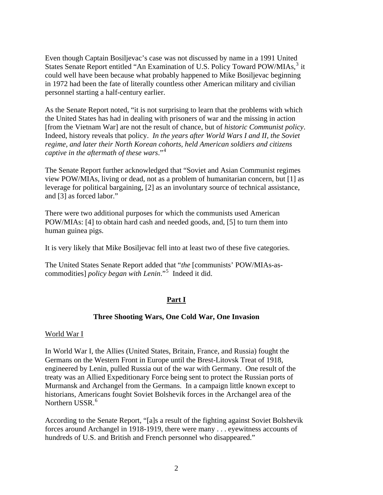Even though Captain Bosiljevac's case was not discussed by name in a 1991 United States Senate Report entitled "An Examination of U.S. Policy Toward POW/MIAs,<sup>[3](#page-37-1)</sup> it could well have been because what probably happened to Mike Bosiljevac beginning in 1972 had been the fate of literally countless other American military and civilian personnel starting a half-century earlier.

As the Senate Report noted, "it is not surprising to learn that the problems with which the United States has had in dealing with prisoners of war and the missing in action [from the Vietnam War] are not the result of chance, but of *historic Communist policy*. Indeed, history reveals that policy. *In the years after World Wars I and II, the Soviet regime, and later their North Korean cohorts, held American soldiers and citizens captive in the aftermath of these wars*."[4](#page-38-0)

The Senate Report further acknowledged that "Soviet and Asian Communist regimes view POW/MIAs, living or dead, not as a problem of humanitarian concern, but [1] as leverage for political bargaining, [2] as an involuntary source of technical assistance, and [3] as forced labor."

There were two additional purposes for which the communists used American POW/MIAs: [4] to obtain hard cash and needed goods, and, [5] to turn them into human guinea pigs.

It is very likely that Mike Bosiljevac fell into at least two of these five categories.

The United States Senate Report added that "*the* [communists' POW/MIAs-ascommodities] *policy began with Lenin*."[5](#page-38-0) Indeed it did.

## **Part I**

### **Three Shooting Wars, One Cold War, One Invasion**

#### World War I

In World War I, the Allies (United States, Britain, France, and Russia) fought the Germans on the Western Front in Europe until the Brest-Litovsk Treat of 1918, engineered by Lenin, pulled Russia out of the war with Germany. One result of the treaty was an Allied Expeditionary Force being sent to protect the Russian ports of Murmansk and Archangel from the Germans. In a campaign little known except to historians, Americans fought Soviet Bolshevik forces in the Archangel area of the Northern USSR.<sup>[6](#page-38-0)</sup>

According to the Senate Report, "[a]s a result of the fighting against Soviet Bolshevik forces around Archangel in 1918-1919, there were many . . . eyewitness accounts of hundreds of U.S. and British and French personnel who disappeared."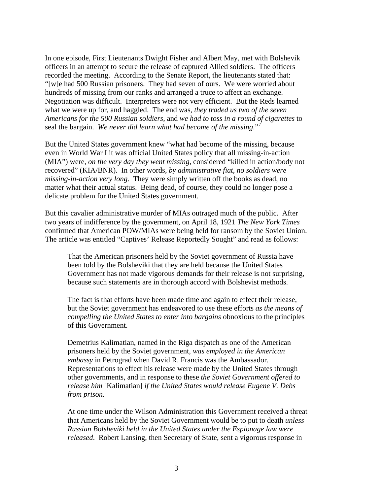In one episode, First Lieutenants Dwight Fisher and Albert May, met with Bolshevik officers in an attempt to secure the release of captured Allied soldiers. The officers recorded the meeting. According to the Senate Report, the lieutenants stated that: "[w]e had 500 Russian prisoners. They had seven of ours. We were worried about hundreds of missing from our ranks and arranged a truce to affect an exchange. Negotiation was difficult. Interpreters were not very efficient. But the Reds learned what we were up for, and haggled. The end was, *they traded us two of the seven Americans for the 500 Russian soldiers*, and *we had to toss in a round of cigarettes* to seal the bargain. We never did learn what had become of the missing."

But the United States government knew "what had become of the missing, because even in World War I it was official United States policy that all missing-in-action (MIA") were, *on the very day they went missing*, considered "killed in action/body not recovered" (KIA/BNR). In other words, *by administrative fiat, no soldiers were missing-in-action very long*. They were simply written off the books as dead, no matter what their actual status. Being dead, of course, they could no longer pose a delicate problem for the United States government.

But this cavalier administrative murder of MIAs outraged much of the public. After two years of indifference by the government, on April 18, 1921 *The New York Times* confirmed that American POW/MIAs were being held for ransom by the Soviet Union. The article was entitled "Captives' Release Reportedly Sought" and read as follows:

That the American prisoners held by the Soviet government of Russia have been told by the Bolsheviki that they are held because the United States Government has not made vigorous demands for their release is not surprising, because such statements are in thorough accord with Bolshevist methods.

The fact is that efforts have been made time and again to effect their release, but the Soviet government has endeavored to use these efforts *as the means of compelling the United States to enter into bargains* obnoxious to the principles of this Government.

Demetrius Kalimatian, named in the Riga dispatch as one of the American prisoners held by the Soviet government, *was employed in the American embassy* in Petrograd when David R. Francis was the Ambassador. Representations to effect his release were made by the United States through other governments, and in response to these *the Soviet Government offered to release him* [Kalimatian] *if the United States would release Eugene V. Debs from prison.* 

At one time under the Wilson Administration this Government received a threat that Americans held by the Soviet Government would be to put to death *unless Russian Bolsheviki held in the United States under the Espionage law were released*. Robert Lansing, then Secretary of State, sent a vigorous response in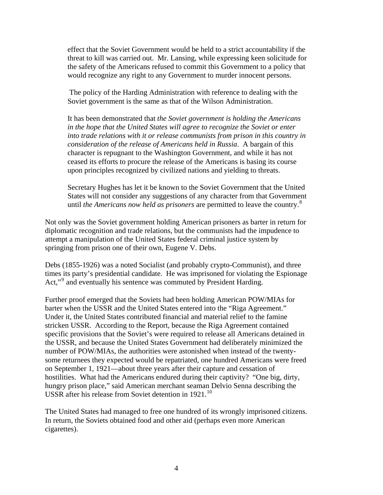effect that the Soviet Government would be held to a strict accountability if the threat to kill was carried out. Mr. Lansing, while expressing keen solicitude for the safety of the Americans refused to commit this Government to a policy that would recognize any right to any Government to murder innocent persons.

 The policy of the Harding Administration with reference to dealing with the Soviet government is the same as that of the Wilson Administration.

It has been demonstrated that *the Soviet government is holding the Americans in the hope that the United States will agree to recognize the Soviet or enter into trade relations with it or release communists from prison in this country in consideration of the release of Americans held in Russia*. A bargain of this character is repugnant to the Washington Government, and while it has not ceased its efforts to procure the release of the Americans is basing its course upon principles recognized by civilized nations and yielding to threats.

Secretary Hughes has let it be known to the Soviet Government that the United States will not consider any suggestions of any character from that Government until *the Americans now held as prisoners* are permitted to leave the country.[8](#page-38-0)

Not only was the Soviet government holding American prisoners as barter in return for diplomatic recognition and trade relations, but the communists had the impudence to attempt a manipulation of the United States federal criminal justice system by springing from prison one of their own, Eugene V. Debs.

Debs (1855-1926) was a noted Socialist (and probably crypto-Communist), and three times its party's presidential candidate. He was imprisoned for violating the Espionage Act,"<sup>[9](#page-38-0)</sup> and eventually his sentence was commuted by President Harding.

Further proof emerged that the Soviets had been holding American POW/MIAs for barter when the USSR and the United States entered into the "Riga Agreement." Under it, the United States contributed financial and material relief to the famine stricken USSR. According to the Report, because the Riga Agreement contained specific provisions that the Soviet's were required to release all Americans detained in the USSR, and because the United States Government had deliberately minimized the number of POW/MIAs, the authorities were astonished when instead of the twentysome returnees they expected would be repatriated, one hundred Americans were freed on September 1, 1921—about three years after their capture and cessation of hostilities. What had the Americans endured during their captivity? "One big, dirty, hungry prison place," said American merchant seaman Delvio Senna describing the USSR after his release from Soviet detention in 1921.<sup>[10](#page-38-0)</sup>

The United States had managed to free one hundred of its wrongly imprisoned citizens. In return, the Soviets obtained food and other aid (perhaps even more American cigarettes).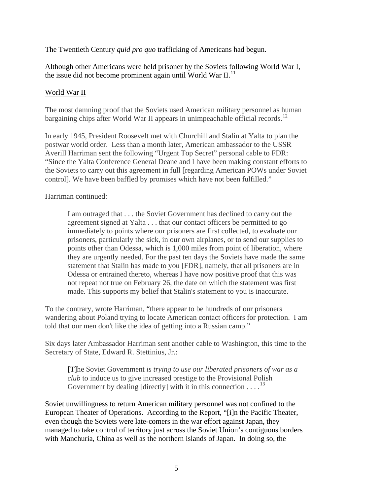The Twentieth Century *quid pro quo* trafficking of Americans had begun.

Although other Americans were held prisoner by the Soviets following World War I, the issue did not become prominent again until World War II.<sup>[11](#page-38-0)</sup>

## World War II

The most damning proof that the Soviets used American military personnel as human bargaining chips after World War II appears in unimpeachable official records.<sup>[12](#page-38-0)</sup>

In early 1945, President Roosevelt met with Churchill and Stalin at Yalta to plan the postwar world order. Less than a month later, American ambassador to the USSR Averill Harriman sent the following "Urgent Top Secret" personal cable to FDR: "Since the Yalta Conference General Deane and I have been making constant efforts to the Soviets to carry out this agreement in full [regarding American POWs under Soviet control]. We have been baffled by promises which have not been fulfilled."

Harriman continued:

I am outraged that . . . the Soviet Government has declined to carry out the agreement signed at Yalta . . . that our contact officers be permitted to go immediately to points where our prisoners are first collected, to evaluate our prisoners, particularly the sick, in our own airplanes, or to send our supplies to points other than Odessa, which is 1,000 miles from point of liberation, where they are urgently needed. For the past ten days the Soviets have made the same statement that Stalin has made to you [FDR], namely, that all prisoners are in Odessa or entrained thereto, whereas I have now positive proof that this was not repeat not true on February 26, the date on which the statement was first made. This supports my belief that Stalin's statement to you is inaccurate.

To the contrary, wrote Harriman, "there appear to be hundreds of our prisoners wandering about Poland trying to locate American contact officers for protection. I am told that our men don't like the idea of getting into a Russian camp."

Six days later Ambassador Harriman sent another cable to Washington, this time to the Secretary of State, Edward R. Stettinius, Jr.:

[T]he Soviet Government *is trying to use our liberated prisoners of war as a club* to induce us to give increased prestige to the Provisional Polish Government by dealing [directly] with it in this connection  $\dots$ .<sup>[13](#page-38-0)</sup>

Soviet unwillingness to return American military personnel was not confined to the European Theater of Operations. According to the Report, "[i]n the Pacific Theater, even though the Soviets were late-comers in the war effort against Japan, they managed to take control of territory just across the Soviet Union's contiguous borders with Manchuria, China as well as the northern islands of Japan. In doing so, the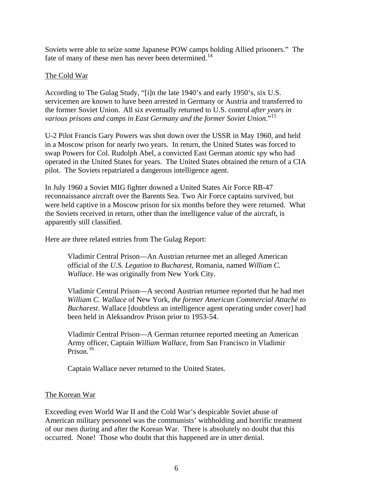Soviets were able to seize some Japanese POW camps holding Allied prisoners." The fate of many of these men has never been determined.<sup>[14](#page-38-0)</sup>

### The Cold War

According to The Gulag Study, "[i]n the late 1940's and early 1950's, six U.S. servicemen are known to have been arrested in Germany or Austria and transferred to the former Soviet Union. All six eventually returned to U.S. control *after years in various prisons and camps in East Germany and the former Soviet Union*."[15](#page-38-0)

U-2 Pilot Francis Gary Powers was shot down over the USSR in May 1960, and held in a Moscow prison for nearly two years. In return, the United States was forced to swap Powers for Col. Rudolph Abel, a convicted East German atomic spy who had operated in the United States for years. The United States obtained the return of a CIA pilot. The Soviets repatriated a dangerous intelligence agent.

In July 1960 a Soviet MIG fighter downed a United States Air Force RB-47 reconnaissance aircraft over the Barents Sea. Two Air Force captains survived, but were held captive in a Moscow prison for six months before they were returned. What the Soviets received in return, other than the intelligence value of the aircraft, is apparently still classified.

Here are three related entries from The Gulag Report:

Vladimir Central Prison—An Austrian returnee met an alleged American official of the *U.S. Legation to Bucharest*, Romania, named *William C. Wallace*. He was originally from New York City.

Vladimir Central Prison—A second Austrian returnee reported that he had met *William C. Wallace* of New York, *the former American Commercial Attaché to Bucharest*. Wallace [doubtless an intelligence agent operating under cover] had been held in Aleksandrov Prison prior to 1953-54.

Vladimir Central Prison—A German returnee reported meeting an American Army officer, Captain *William Wallace*, from San Francisco in Vladimir Prison.<sup>[16](#page-39-0)</sup>

Captain Wallace never returned to the United States.

### The Korean War

Exceeding even World War II and the Cold War's despicable Soviet abuse of American military personnel was the communists' withholding and horrific treatment of our men during and after the Korean War. There is absolutely no doubt that this occurred. None! Those who doubt that this happened are in utter denial.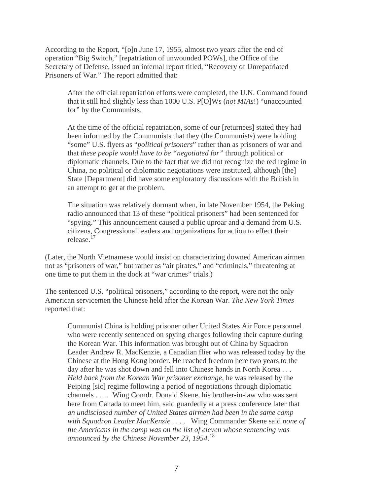According to the Report, "[o]n June 17, 1955, almost two years after the end of operation "Big Switch," [repatriation of unwounded POWs], the Office of the Secretary of Defense, issued an internal report titled, "Recovery of Unrepatriated Prisoners of War." The report admitted that:

After the official repatriation efforts were completed, the U.N. Command found that it still had slightly less than 1000 U.S. P[O]Ws (*not MIAs*!) "unaccounted for" by the Communists.

At the time of the official repatriation, some of our [returnees] stated they had been informed by the Communists that they (the Communists) were holding "some" U.S. flyers as "*political prisoners*" rather than as prisoners of war and that *these people would have to be "negotiated for"* through political or diplomatic channels. Due to the fact that we did not recognize the red regime in China, no political or diplomatic negotiations were instituted, although [the] State [Department] did have some exploratory discussions with the British in an attempt to get at the problem.

The situation was relatively dormant when, in late November 1954, the Peking radio announced that 13 of these "political prisoners" had been sentenced for "spying." This announcement caused a public uproar and a demand from U.S. citizens, Congressional leaders and organizations for action to effect their release.[17](#page-39-0)

(Later, the North Vietnamese would insist on characterizing downed American airmen not as "prisoners of war," but rather as "air pirates," and "criminals," threatening at one time to put them in the dock at "war crimes" trials.)

The sentenced U.S. "political prisoners," according to the report, were not the only American servicemen the Chinese held after the Korean War. *The New York Times* reported that:

Communist China is holding prisoner other United States Air Force personnel who were recently sentenced on spying charges following their capture during the Korean War. This information was brought out of China by Squadron Leader Andrew R. MacKenzie, a Canadian flier who was released today by the Chinese at the Hong Kong border. He reached freedom here two years to the day after he was shot down and fell into Chinese hands in North Korea . . . *Held back from the Korean War prisoner exchange*, he was released by the Peiping [sic] regime following a period of negotiations through diplomatic channels . . . . Wing Comdr. Donald Skene, his brother-in-law who was sent here from Canada to meet him, said guardedly at a press conference later that *an undisclosed number of United States airmen had been in the same camp with Squadron Leader MacKenzie* . . . . Wing Commander Skene said *none of the Americans in the camp was on the list of eleven whose sentencing was announced by the Chinese November 23, 1954*. [18](#page-39-0)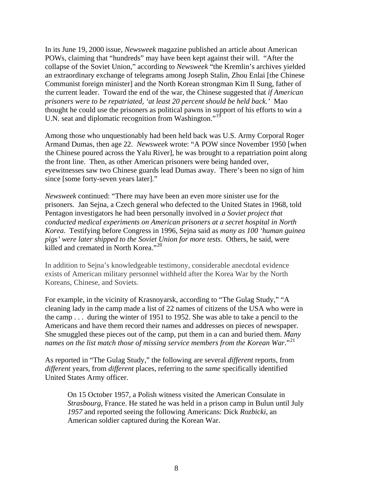In its June 19, 2000 issue, *Newsweek* magazine published an article about American POWs, claiming that "hundreds" may have been kept against their will. "After the collapse of the Soviet Union," according to *Newsweek* "the Kremlin's archives yielded an extraordinary exchange of telegrams among Joseph Stalin, Zhou Enlai [the Chinese Communist foreign minister] and the North Korean strongman Kim Il Sung, father of the current leader. Toward the end of the war, the Chinese suggested that *if American prisoners were to be repatriated, 'at least 20 percent should be held back.'* Mao thought he could use the prisoners as political pawns in support of his efforts to win a U.N. seat and diplomatic recognition from Washington."<sup>[19](#page-39-0)</sup>

Among those who unquestionably had been held back was U.S. Army Corporal Roger Armand Dumas, then age 22. *Newsweek* wrote: "A POW since November 1950 [when the Chinese poured across the Yalu River], he was brought to a repatriation point along the front line. Then, as other American prisoners were being handed over, eyewitnesses saw two Chinese guards lead Dumas away. There's been no sign of him since [some forty-seven years later]."

*Newsweek* continued: "There may have been an even more sinister use for the prisoners. Jan Sejna, a Czech general who defected to the United States in 1968, told Pentagon investigators he had been personally involved in *a Soviet project that conducted medical experiments on American prisoners at a secret hospital in North Korea*. Testifying before Congress in 1996, Sejna said as *many as 100 'human guinea pigs' were later shipped to the Soviet Union for more tests*. Others, he said, were killed and cremated in North Korea."<sup>[20](#page-39-0)</sup>

In addition to Sejna's knowledgeable testimony, considerable anecdotal evidence exists of American military personnel withheld after the Korea War by the North Koreans, Chinese, and Soviets.

For example, in the vicinity of Krasnoyarsk, according to "The Gulag Study," "A cleaning lady in the camp made a list of 22 names of citizens of the USA who were in the camp . . . during the winter of 1951 to 1952. She was able to take a pencil to the Americans and have them record their names and addresses on pieces of newspaper. She smuggled these pieces out of the camp, put them in a can and buried them. *Many names on the list match those of missing service members from the Korean War*."<sup>[21](#page-39-0)</sup>

As reported in "The Gulag Study," the following are several *different* reports, from *different* years, from *different* places, referring to the *same* specifically identified United States Army officer.

On 15 October 1957, a Polish witness visited the American Consulate in *Strasbourg*, France. He stated he was held in a prison camp in Bulun until July *1957* and reported seeing the following Americans: Dick *Rozbicki*, an American soldier captured during the Korean War.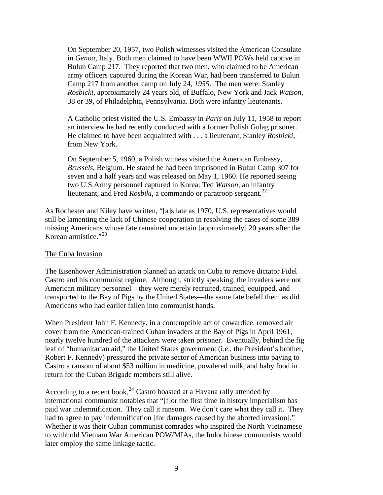On September 20, 1957, two Polish witnesses visited the American Consulate in *Genoa*, Italy. Both men claimed to have been WWII POWs held captive in Bulun Camp 217. They reported that two men, who claimed to be American army officers captured during the Korean War, had been transferred to Bulun Camp 217 from another camp on July 24, *1955*. The men were: Stanley *Rosbicki*, approximately 24 years old, of Buffalo, New York and Jack *Watson*, 38 or 39, of Philadelphia, Pennsylvania. Both were infantry lieutenants.

A Catholic priest visited the U.S. Embassy in *Paris* on July 11, 1958 to report an interview he had recently conducted with a former Polish Gulag prisoner. He claimed to have been acquainted with . . . a lieutenant, Stanley *Rosbicki*, from New York.

On September 5, 1960, a Polish witness visited the American Embassy, *Brussels*, Belgium. He stated he had been imprisoned in Bulun Camp 307 for seven and a half years and was released on May 1, 1960. He reported seeing two U.S.Army personnel captured in Korea: Ted *Watson*, an infantry lieutenant, and Fred *Rosbiki*, a commando or paratroop sergeant.<sup>[22](#page-39-0)</sup>

As Rochester and Kiley have written, "[a]s late as 1970, U.S. representatives would still be lamenting the lack of Chinese cooperation in resolving the cases of some 389 missing Americans whose fate remained uncertain [approximately] 20 years after the Korean armistice."[23](#page-39-0)

### The Cuba Invasion

The Eisenhower Administration planned an attack on Cuba to remove dictator Fidel Castro and his communist regime. Although, strictly speaking, the invaders were not American military personnel—they were merely recruited, trained, equipped, and transported to the Bay of Pigs by the United States—the same fate befell them as did Americans who had earlier fallen into communist hands.

When President John F. Kennedy, in a contemptible act of cowardice, removed air cover from the American-trained Cuban invaders at the Bay of Pigs in April 1961, nearly twelve hundred of the attackers were taken prisoner. Eventually, behind the fig leaf of "humanitarian aid," the United States government (i.e., the President's brother, Robert F. Kennedy) pressured the private sector of American business into paying to Castro a ransom of about \$53 million in medicine, powdered milk, and baby food in return for the Cuban Brigade members still alive.

According to a recent book,  $^{24}$  $^{24}$  $^{24}$  Castro boasted at a Havana rally attended by international communist notables that "[f]or the first time in history imperialism has paid war indemnification. They call it ransom. We don't care what they call it. They had to agree to pay indemnification [for damages caused by the aborted invasion]." Whether it was their Cuban communist comrades who inspired the North Vietnamese to withhold Vietnam War American POW/MIAs, the Indochinese communists would later employ the same linkage tactic.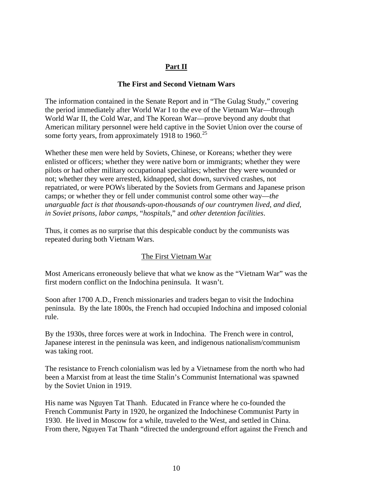# **Part II**

### **The First and Second Vietnam Wars**

The information contained in the Senate Report and in "The Gulag Study," covering the period immediately after World War I to the eve of the Vietnam War—through World War II, the Cold War, and The Korean War—prove beyond any doubt that American military personnel were held captive in the Soviet Union over the course of some forty years, from approximately 1918 to 1960.<sup>[25](#page-39-0)</sup>

Whether these men were held by Soviets, Chinese, or Koreans; whether they were enlisted or officers; whether they were native born or immigrants; whether they were pilots or had other military occupational specialties; whether they were wounded or not; whether they were arrested, kidnapped, shot down, survived crashes, not repatriated, or were POWs liberated by the Soviets from Germans and Japanese prison camps; or whether they or fell under communist control some other way—*the unarguable fact is that thousands-upon-thousands of our countrymen lived, and died, in Soviet prisons, labor camps,* "*hospitals*," and *other detention facilities*.

Thus, it comes as no surprise that this despicable conduct by the communists was repeated during both Vietnam Wars.

### The First Vietnam War

Most Americans erroneously believe that what we know as the "Vietnam War" was the first modern conflict on the Indochina peninsula. It wasn't.

Soon after 1700 A.D., French missionaries and traders began to visit the Indochina peninsula. By the late 1800s, the French had occupied Indochina and imposed colonial rule.

By the 1930s, three forces were at work in Indochina. The French were in control, Japanese interest in the peninsula was keen, and indigenous nationalism/communism was taking root.

The resistance to French colonialism was led by a Vietnamese from the north who had been a Marxist from at least the time Stalin's Communist International was spawned by the Soviet Union in 1919.

His name was Nguyen Tat Thanh. Educated in France where he co-founded the French Communist Party in 1920, he organized the Indochinese Communist Party in 1930. He lived in Moscow for a while, traveled to the West, and settled in China. From there, Nguyen Tat Thanh "directed the underground effort against the French and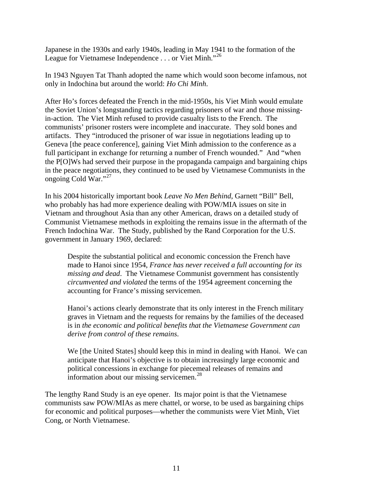Japanese in the 1930s and early 1940s, leading in May 1941 to the formation of the League for Vietnamese Independence . . . or Viet Minh."<sup>[26](#page-39-0)</sup>

In 1943 Nguyen Tat Thanh adopted the name which would soon become infamous, not only in Indochina but around the world: *Ho Chi Minh*.

After Ho's forces defeated the French in the mid-1950s, his Viet Minh would emulate the Soviet Union's longstanding tactics regarding prisoners of war and those missingin-action. The Viet Minh refused to provide casualty lists to the French. The communists' prisoner rosters were incomplete and inaccurate. They sold bones and artifacts. They "introduced the prisoner of war issue in negotiations leading up to Geneva [the peace conference], gaining Viet Minh admission to the conference as a full participant in exchange for returning a number of French wounded." And "when the P[O]Ws had served their purpose in the propaganda campaign and bargaining chips in the peace negotiations, they continued to be used by Vietnamese Communists in the ongoing Cold War."[27](#page-39-0)

In his 2004 historically important book *Leave No Men Behind*, Garnett "Bill" Bell, who probably has had more experience dealing with POW/MIA issues on site in Vietnam and throughout Asia than any other American, draws on a detailed study of Communist Vietnamese methods in exploiting the remains issue in the aftermath of the French Indochina War. The Study, published by the Rand Corporation for the U.S. government in January 1969, declared:

Despite the substantial political and economic concession the French have made to Hanoi since 1954, *France has never received a full accounting for its missing and dead*. The Vietnamese Communist government has consistently *circumvented and violated* the terms of the 1954 agreement concerning the accounting for France's missing servicemen.

Hanoi's actions clearly demonstrate that its only interest in the French military graves in Vietnam and the requests for remains by the families of the deceased is in *the economic and political benefits that the Vietnamese Government can derive from control of these remains*.

We [the United States] should keep this in mind in dealing with Hanoi. We can anticipate that Hanoi's objective is to obtain increasingly large economic and political concessions in exchange for piecemeal releases of remains and information about our missing servicemen. $^{28}$  $^{28}$  $^{28}$ 

The lengthy Rand Study is an eye opener. Its major point is that the Vietnamese communists saw POW/MIAs as mere chattel, or worse, to be used as bargaining chips for economic and political purposes—whether the communists were Viet Minh, Viet Cong, or North Vietnamese.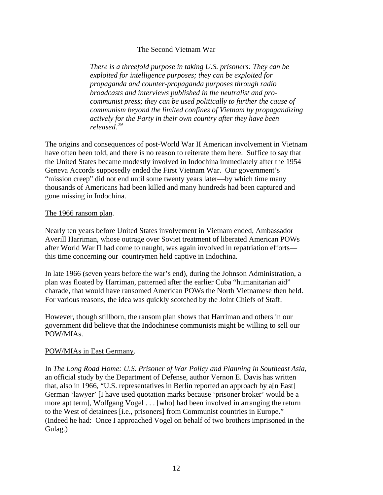### The Second Vietnam War

*There is a threefold purpose in taking U.S. prisoners: They can be exploited for intelligence purposes; they can be exploited for propaganda and counter-propaganda purposes through radio broadcasts and interviews published in the neutralist and procommunist press; they can be used politically to further the cause of communism beyond the limited confines of Vietnam by propagandizing actively for the Party in their own country after they have been released.[29](#page-39-0)*

The origins and consequences of post-World War II American involvement in Vietnam have often been told, and there is no reason to reiterate them here. Suffice to say that the United States became modestly involved in Indochina immediately after the 1954 Geneva Accords supposedly ended the First Vietnam War. Our government's "mission creep" did not end until some twenty years later—by which time many thousands of Americans had been killed and many hundreds had been captured and gone missing in Indochina.

### The 1966 ransom plan.

Nearly ten years before United States involvement in Vietnam ended, Ambassador Averill Harriman, whose outrage over Soviet treatment of liberated American POWs after World War II had come to naught, was again involved in repatriation efforts this time concerning our countrymen held captive in Indochina.

In late 1966 (seven years before the war's end), during the Johnson Administration, a plan was floated by Harriman, patterned after the earlier Cuba "humanitarian aid" charade, that would have ransomed American POWs the North Vietnamese then held. For various reasons, the idea was quickly scotched by the Joint Chiefs of Staff.

However, though stillborn, the ransom plan shows that Harriman and others in our government did believe that the Indochinese communists might be willing to sell our POW/MIAs.

### POW/MIAs in East Germany.

In *The Long Road Home: U.S. Prisoner of War Policy and Planning in Southeast Asia*, an official study by the Department of Defense, author Vernon E. Davis has written that, also in 1966, "U.S. representatives in Berlin reported an approach by a[n East] German 'lawyer' [I have used quotation marks because 'prisoner broker' would be a more apt term], Wolfgang Vogel . . . [who] had been involved in arranging the return to the West of detainees [i.e., prisoners] from Communist countries in Europe." (Indeed he had: Once I approached Vogel on behalf of two brothers imprisoned in the Gulag.)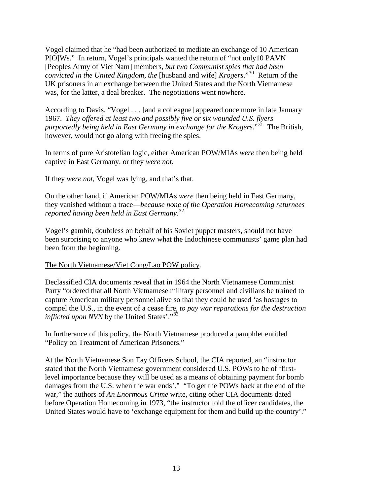Vogel claimed that he "had been authorized to mediate an exchange of 10 American P[O]Ws." In return, Vogel's principals wanted the return of "not only10 PAVN [Peoples Army of Viet Nam] members, *but two Communist spies that had been convicted in the United Kingdom, the* [husband and wife] *Krogers*."[30](#page-40-0) Return of the UK prisoners in an exchange between the United States and the North Vietnamese was, for the latter, a deal breaker. The negotiations went nowhere.

According to Davis, "Vogel . . . [and a colleague] appeared once more in late January 1967. *They offered at least two and possibly five or six wounded U.S. flyers purportedly being held in East Germany in exchange for the Krogers*."[31](#page-40-0) The British, however, would not go along with freeing the spies.

In terms of pure Aristotelian logic, either American POW/MIAs *were* then being held captive in East Germany, or they *were not*.

If they *were not*, Vogel was lying, and that's that.

On the other hand, if American POW/MIAs *were* then being held in East Germany, they vanished without a trace—*because none of the Operation Homecoming returnees reported having been held in East Germany*. [32](#page-40-0)

Vogel's gambit, doubtless on behalf of his Soviet puppet masters, should not have been surprising to anyone who knew what the Indochinese communists' game plan had been from the beginning.

### The North Vietnamese/Viet Cong/Lao POW policy.

Declassified CIA documents reveal that in 1964 the North Vietnamese Communist Party "ordered that all North Vietnamese military personnel and civilians be trained to capture American military personnel alive so that they could be used 'as hostages to compel the U.S., in the event of a cease fire, *to pay war reparations for the destruction inflicted upon NVN* by the United States'."<sup>[33](#page-40-0)</sup>

In furtherance of this policy, the North Vietnamese produced a pamphlet entitled "Policy on Treatment of American Prisoners."

At the North Vietnamese Son Tay Officers School, the CIA reported, an "instructor stated that the North Vietnamese government considered U.S. POWs to be of 'firstlevel importance because they will be used as a means of obtaining payment for bomb damages from the U.S. when the war ends'." "To get the POWs back at the end of the war," the authors of *An Enormous Crime* write, citing other CIA documents dated before Operation Homecoming in 1973, "the instructor told the officer candidates, the United States would have to 'exchange equipment for them and build up the country'."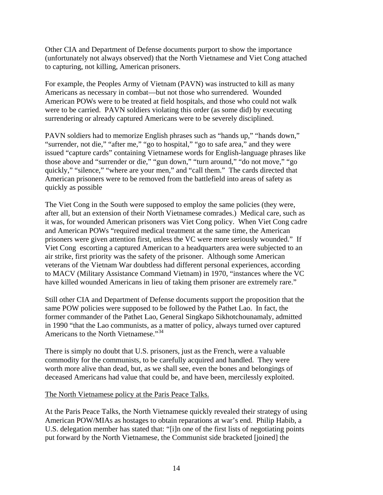Other CIA and Department of Defense documents purport to show the importance (unfortunately not always observed) that the North Vietnamese and Viet Cong attached to capturing, not killing, American prisoners.

For example, the Peoples Army of Vietnam (PAVN) was instructed to kill as many Americans as necessary in combat—but not those who surrendered. Wounded American POWs were to be treated at field hospitals, and those who could not walk were to be carried. PAVN soldiers violating this order (as some did) by executing surrendering or already captured Americans were to be severely disciplined.

PAVN soldiers had to memorize English phrases such as "hands up," "hands down," "surrender, not die," "after me," "go to hospital," "go to safe area," and they were issued "capture cards" containing Vietnamese words for English-language phrases like those above and "surrender or die," "gun down," "turn around," "do not move," "go quickly," "silence," "where are your men," and "call them." The cards directed that American prisoners were to be removed from the battlefield into areas of safety as quickly as possible

The Viet Cong in the South were supposed to employ the same policies (they were, after all, but an extension of their North Vietnamese comrades.) Medical care, such as it was, for wounded American prisoners was Viet Cong policy. When Viet Cong cadre and American POWs "required medical treatment at the same time, the American prisoners were given attention first, unless the VC were more seriously wounded." If Viet Cong escorting a captured American to a headquarters area were subjected to an air strike, first priority was the safety of the prisoner. Although some American veterans of the Vietnam War doubtless had different personal experiences, according to MACV (Military Assistance Command Vietnam) in 1970, "instances where the VC have killed wounded Americans in lieu of taking them prisoner are extremely rare."

Still other CIA and Department of Defense documents support the proposition that the same POW policies were supposed to be followed by the Pathet Lao. In fact, the former commander of the Pathet Lao, General Singkapo Sikhotchounamaly, admitted in 1990 "that the Lao communists, as a matter of policy, always turned over captured Americans to the North Vietnamese."<sup>[34](#page-40-0)</sup>

There is simply no doubt that U.S. prisoners, just as the French, were a valuable commodity for the communists, to be carefully acquired and handled. They were worth more alive than dead, but, as we shall see, even the bones and belongings of deceased Americans had value that could be, and have been, mercilessly exploited.

#### The North Vietnamese policy at the Paris Peace Talks.

At the Paris Peace Talks, the North Vietnamese quickly revealed their strategy of using American POW/MIAs as hostages to obtain reparations at war's end. Philip Habib, a U.S. delegation member has stated that: "[i]n one of the first lists of negotiating points put forward by the North Vietnamese, the Communist side bracketed [joined] the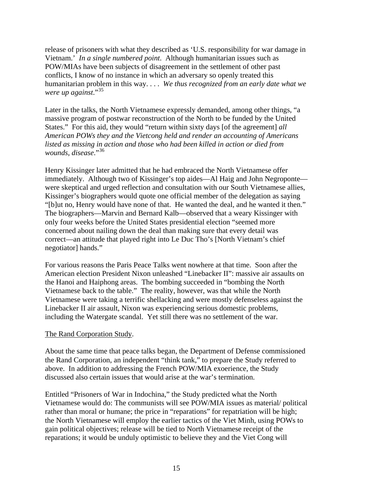release of prisoners with what they described as 'U.S. responsibility for war damage in Vietnam.' *In a single numbered point*. Although humanitarian issues such as POW/MIAs have been subjects of disagreement in the settlement of other past conflicts, I know of no instance in which an adversary so openly treated this humanitarian problem in this way. . . . *We thus recognized from an early date what we were up against*."[35](#page-40-0)

Later in the talks, the North Vietnamese expressly demanded, among other things, "a massive program of postwar reconstruction of the North to be funded by the United States." For this aid, they would "return within sixty days [of the agreement] *all American POWs they and the Vietcong held and render an accounting of Americans listed as missing in action and those who had been killed in action or died from wounds*, *disease*."[36](#page-40-0)

Henry Kissinger later admitted that he had embraced the North Vietnamese offer immediately. Although two of Kissinger's top aides—Al Haig and John Negroponte were skeptical and urged reflection and consultation with our South Vietnamese allies, Kissinger's biographers would quote one official member of the delegation as saying "[b]ut no, Henry would have none of that. He wanted the deal, and he wanted it then." The biographers—Marvin and Bernard Kalb—observed that a weary Kissinger with only four weeks before the United States presidential election "seemed more concerned about nailing down the deal than making sure that every detail was correct—an attitude that played right into Le Duc Tho's [North Vietnam's chief negotiator] hands."

For various reasons the Paris Peace Talks went nowhere at that time. Soon after the American election President Nixon unleashed "Linebacker II": massive air assaults on the Hanoi and Haiphong areas. The bombing succeeded in "bombing the North Vietnamese back to the table." The reality, however, was that while the North Vietnamese were taking a terrific shellacking and were mostly defenseless against the Linebacker II air assault, Nixon was experiencing serious domestic problems, including the Watergate scandal. Yet still there was no settlement of the war.

### The Rand Corporation Study.

About the same time that peace talks began, the Department of Defense commissioned the Rand Corporation, an independent "think tank," to prepare the Study referred to above. In addition to addressing the French POW/MIA exoerience, the Study discussed also certain issues that would arise at the war's termination.

Entitled "Prisoners of War in Indochina," the Study predicted what the North Vietnamese would do: The communists will see POW/MIA issues as material/ political rather than moral or humane; the price in "reparations" for repatriation will be high; the North Vietnamese will employ the earlier tactics of the Viet Minh, using POWs to gain political objectives; release will be tied to North Vietnamese receipt of the reparations; it would be unduly optimistic to believe they and the Viet Cong will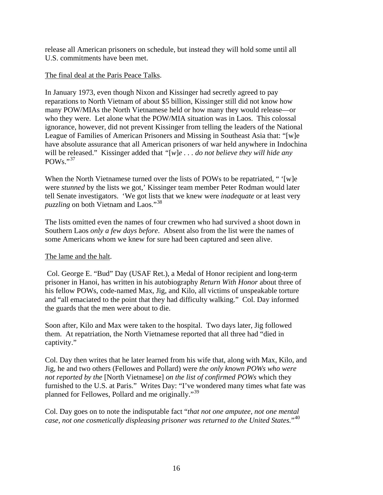release all American prisoners on schedule, but instead they will hold some until all U.S. commitments have been met.

### The final deal at the Paris Peace Talks.

In January 1973, even though Nixon and Kissinger had secretly agreed to pay reparations to North Vietnam of about \$5 billion, Kissinger still did not know how many POW/MIAs the North Vietnamese held or how many they would release—or who they were. Let alone what the POW/MIA situation was in Laos. This colossal ignorance, however, did not prevent Kissinger from telling the leaders of the National League of Families of American Prisoners and Missing in Southeast Asia that: "[w]e have absolute assurance that all American prisoners of war held anywhere in Indochina will be released." Kissinger added that *"*[*w*]*e . . . do not believe they will hide any*   $POWs.$ <sup>"[37](#page-40-0)</sup>

When the North Vietnamese turned over the lists of POWs to be repatriated, " '[w]e were *stunned* by the lists we got,' Kissinger team member Peter Rodman would later tell Senate investigators. 'We got lists that we knew were *inadequate* or at least very *puzzling* on both Vietnam and Laos."[38](#page-40-0)

The lists omitted even the names of four crewmen who had survived a shoot down in Southern Laos *only a few days before*. Absent also from the list were the names of some Americans whom we knew for sure had been captured and seen alive.

## The lame and the halt.

 Col. George E. "Bud" Day (USAF Ret.), a Medal of Honor recipient and long-term prisoner in Hanoi, has written in his autobiography *Return With Honor* about three of his fellow POWs, code-named Max, Jig, and Kilo, all victims of unspeakable torture and "all emaciated to the point that they had difficulty walking." Col. Day informed the guards that the men were about to die.

Soon after, Kilo and Max were taken to the hospital. Two days later, Jig followed them. At repatriation, the North Vietnamese reported that all three had "died in captivity."

Col. Day then writes that he later learned from his wife that, along with Max, Kilo, and Jig, he and two others (Fellowes and Pollard) were *the only known POWs who were not reported by the* [North Vietnamese] *on the list of confirmed POWs* which they furnished to the U.S. at Paris." Writes Day: "I've wondered many times what fate was planned for Fellowes, Pollard and me originally."[39](#page-40-0)

Col. Day goes on to note the indisputable fact "*that not one amputee, not one mental case, not one cosmetically displeasing prisoner was returned to the United States.*"[40](#page-40-0)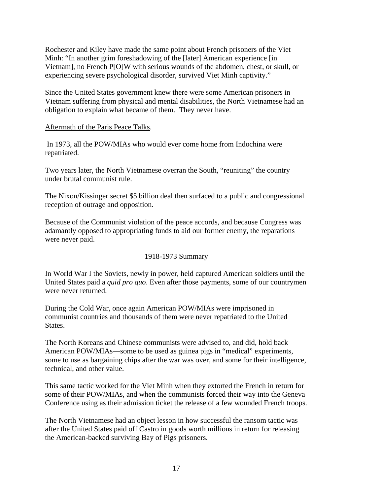Rochester and Kiley have made the same point about French prisoners of the Viet Minh: "In another grim foreshadowing of the [later] American experience [in Vietnam], no French P[O]W with serious wounds of the abdomen, chest, or skull, or experiencing severe psychological disorder, survived Viet Minh captivity."

Since the United States government knew there were some American prisoners in Vietnam suffering from physical and mental disabilities, the North Vietnamese had an obligation to explain what became of them. They never have.

### Aftermath of the Paris Peace Talks.

In 1973, all the POW/MIAs who would ever come home from Indochina were repatriated.

Two years later, the North Vietnamese overran the South, "reuniting" the country under brutal communist rule.

The Nixon/Kissinger secret \$5 billion deal then surfaced to a public and congressional reception of outrage and opposition.

Because of the Communist violation of the peace accords, and because Congress was adamantly opposed to appropriating funds to aid our former enemy, the reparations were never paid.

## 1918-1973 Summary

In World War I the Soviets, newly in power, held captured American soldiers until the United States paid a *quid pro quo*. Even after those payments, some of our countrymen were never returned.

During the Cold War, once again American POW/MIAs were imprisoned in communist countries and thousands of them were never repatriated to the United States.

The North Koreans and Chinese communists were advised to, and did, hold back American POW/MIAs—some to be used as guinea pigs in "medical" experiments, some to use as bargaining chips after the war was over, and some for their intelligence, technical, and other value.

This same tactic worked for the Viet Minh when they extorted the French in return for some of their POW/MIAs, and when the communists forced their way into the Geneva Conference using as their admission ticket the release of a few wounded French troops.

The North Vietnamese had an object lesson in how successful the ransom tactic was after the United States paid off Castro in goods worth millions in return for releasing the American-backed surviving Bay of Pigs prisoners.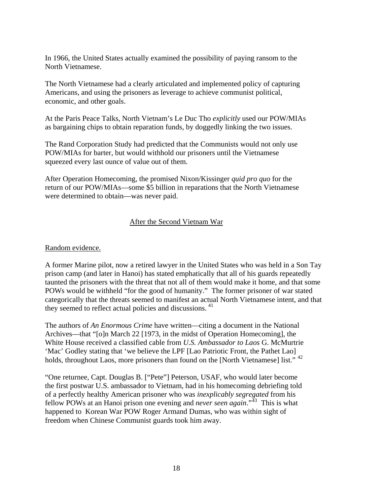In 1966, the United States actually examined the possibility of paying ransom to the North Vietnamese.

The North Vietnamese had a clearly articulated and implemented policy of capturing Americans, and using the prisoners as leverage to achieve communist political, economic, and other goals.

At the Paris Peace Talks, North Vietnam's Le Duc Tho *explicitly* used our POW/MIAs as bargaining chips to obtain reparation funds, by doggedly linking the two issues.

The Rand Corporation Study had predicted that the Communists would not only use POW/MIAs for barter, but would withhold our prisoners until the Vietnamese squeezed every last ounce of value out of them.

After Operation Homecoming, the promised Nixon/Kissinger *quid pro quo* for the return of our POW/MIAs—some \$5 billion in reparations that the North Vietnamese were determined to obtain—was never paid.

### After the Second Vietnam War

### Random evidence.

A former Marine pilot, now a retired lawyer in the United States who was held in a Son Tay prison camp (and later in Hanoi) has stated emphatically that all of his guards repeatedly taunted the prisoners with the threat that not all of them would make it home, and that some POWs would be withheld "for the good of humanity." The former prisoner of war stated categorically that the threats seemed to manifest an actual North Vietnamese intent, and that they seemed to reflect actual policies and discussions.<sup>[41](#page-40-0)</sup>

The authors of *An Enormous Crime* have written—citing a document in the National Archives—that "[o]n March 22 [1973, in the midst of Operation Homecoming], the White House received a classified cable from *U.S. Ambassador to Laos* G. McMurtrie 'Mac' Godley stating that 'we believe the LPF [Lao Patriotic Front, the Pathet Lao] holds, throughout Laos, more prisoners than found on the [North Vietnamese] list."<sup>[42](#page-40-0)</sup>

"One returnee, Capt. Douglas B. ["Pete"] Peterson, USAF, who would later become the first postwar U.S. ambassador to Vietnam, had in his homecoming debriefing told of a perfectly healthy American prisoner who was *inexplicably segregated* from his fellow POWs at an Hanoi prison one evening and *never seen again*."[43](#page-40-0) This is what happened to Korean War POW Roger Armand Dumas, who was within sight of freedom when Chinese Communist guards took him away.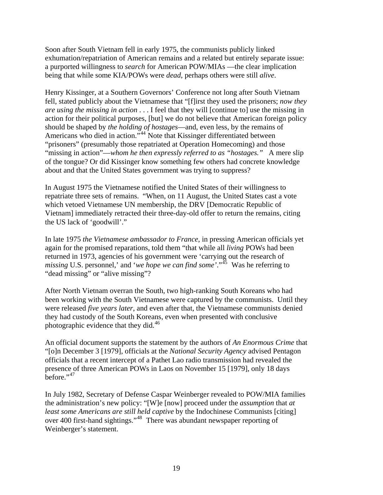Soon after South Vietnam fell in early 1975, the communists publicly linked exhumation/repatriation of American remains and a related but entirely separate issue: a purported willingness to *search* for American POW/MIAs —the clear implication being that while some KIA/POWs were *dead*, perhaps others were still *alive*.

Henry Kissinger, at a Southern Governors' Conference not long after South Vietnam fell, stated publicly about the Vietnamese that "[f]irst they used the prisoners; *now they are using the missing in action* . . . I feel that they will [continue to] use the missing in action for their political purposes, [but] we do not believe that American foreign policy should be shaped by *the holding of hostages*—and, even less, by the remains of Americans who died in action."<sup>[44](#page-40-0)</sup> Note that Kissinger differentiated between "prisoners" (presumably those repatriated at Operation Homecoming) and those "missing in action"—*whom he then expressly referred to as "hostages."* A mere slip of the tongue? Or did Kissinger know something few others had concrete knowledge about and that the United States government was trying to suppress?

In August 1975 the Vietnamese notified the United States of their willingness to repatriate three sets of remains. "When, on 11 August, the United States cast a vote which vetoed Vietnamese UN membership, the DRV [Democratic Republic of Vietnam] immediately retracted their three-day-old offer to return the remains, citing the US lack of 'goodwill'."

In late 1975 *the Vietnamese ambassador to France*, in pressing American officials yet again for the promised reparations, told them "that while all *living* POWs had been returned in 1973, agencies of his government were 'carrying out the research of *missing* U.S. personnel,' and '*we hope we can find some'*."[45](#page-40-0) Was he referring to "dead missing" or "alive missing"?

After North Vietnam overran the South, two high-ranking South Koreans who had been working with the South Vietnamese were captured by the communists. Until they were released *five years later*, and even after that, the Vietnamese communists denied they had custody of the South Koreans, even when presented with conclusive photographic evidence that they did.[46](#page-40-0)

An official document supports the statement by the authors of *An Enormous Crime* that "[o]n December 3 [1979], officials at the *National Security Agency* advised Pentagon officials that a recent intercept of a Pathet Lao radio transmission had revealed the presence of three American POWs in Laos on November 15 [1979], only 18 days before." $47$ 

In July 1982, Secretary of Defense Caspar Weinberger revealed to POW/MIA families the administration's new policy: "[W]e [now] proceed under the *assumption* that *at least some Americans are still held captive* by the Indochinese Communists [citing] over 400 first-hand sightings."<sup>[48](#page-40-0)</sup> There was abundant newspaper reporting of Weinberger's statement.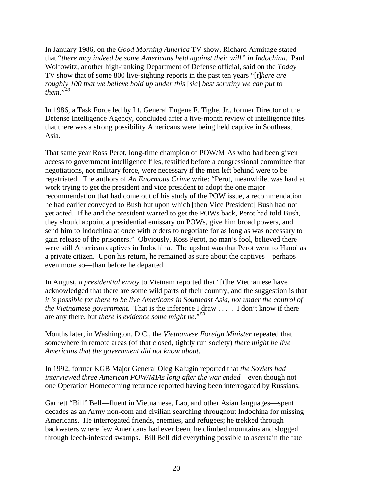In January 1986, on the *Good Morning America* TV show, Richard Armitage stated that "*there may indeed be some Americans held against their will" in Indochina*. Paul Wolfowitz, another high-ranking Department of Defense official, said on the *Today* TV show that of some 800 live-sighting reports in the past ten years "[*t*]*here are roughly 100 that we believe hold up under this* [*sic*] *best scrutiny we can put to them*."<sup>[49](#page-41-0)</sup>

In 1986, a Task Force led by Lt. General Eugene F. Tighe, Jr., former Director of the Defense Intelligence Agency, concluded after a five-month review of intelligence files that there was a strong possibility Americans were being held captive in Southeast Asia.

That same year Ross Perot, long-time champion of POW/MIAs who had been given access to government intelligence files, testified before a congressional committee that negotiations, not military force, were necessary if the men left behind were to be repatriated. The authors of *An Enormous Crime* write: "Perot, meanwhile, was hard at work trying to get the president and vice president to adopt the one major recommendation that had come out of his study of the POW issue, a recommendation he had earlier conveyed to Bush but upon which [then Vice President] Bush had not yet acted. If he and the president wanted to get the POWs back, Perot had told Bush, they should appoint a presidential emissary on POWs, give him broad powers, and send him to Indochina at once with orders to negotiate for as long as was necessary to gain release of the prisoners." Obviously, Ross Perot, no man's fool, believed there were still American captives in Indochina. The upshot was that Perot went to Hanoi as a private citizen. Upon his return, he remained as sure about the captives—perhaps even more so—than before he departed.

In August, *a presidential envoy* to Vietnam reported that "[t]he Vietnamese have acknowledged that there are some wild parts of their country, and the suggestion is that *it is possible for there to be live Americans in Southeast Asia, not under the control of the Vietnamese government.* That is the inference I draw . . . . I don't know if there are any there, but *there is evidence some might be*."[50](#page-41-0)

Months later, in Washington, D.C., the *Vietnamese Foreign Minister* repeated that somewhere in remote areas (of that closed, tightly run society) *there might be live Americans that the government did not know about*.

In 1992, former KGB Major General Oleg Kalugin reported that *the Soviets had interviewed three American POW/MIAs long after the war ended*—even though not one Operation Homecoming returnee reported having been interrogated by Russians.

Garnett "Bill" Bell—fluent in Vietnamese, Lao, and other Asian languages—spent decades as an Army non-com and civilian searching throughout Indochina for missing Americans. He interrogated friends, enemies, and refugees; he trekked through backwaters where few Americans had ever been; he climbed mountains and slogged through leech-infested swamps. Bill Bell did everything possible to ascertain the fate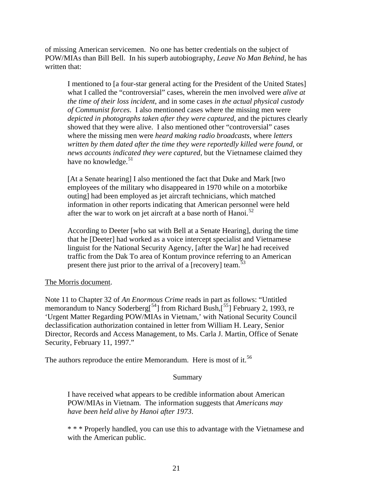of missing American servicemen. No one has better credentials on the subject of POW/MIAs than Bill Bell. In his superb autobiography, *Leave No Man Behind*, he has written that:

I mentioned to [a four-star general acting for the President of the United States] what I called the "controversial" cases, wherein the men involved were *alive at the time of their loss incident*, and in some cases *in the actual physical custody of Communist forces*. I also mentioned cases where the missing men were *depicted in photographs taken after they were captured*, and the pictures clearly showed that they were alive. I also mentioned other "controversial" cases where the missing men were *heard making radio broadcasts*, where *letters written by them dated after the time they were reportedly killed were found*, or *news accounts indicated they were captured*, but the Vietnamese claimed they have no knowledge. $51$ 

 [At a Senate hearing] I also mentioned the fact that Duke and Mark [two employees of the military who disappeared in 1970 while on a motorbike outing] had been employed as jet aircraft technicians, which matched information in other reports indicating that American personnel were held after the war to work on jet aircraft at a base north of Hanoi.<sup>[52](#page-41-0)</sup>

According to Deeter [who sat with Bell at a Senate Hearing], during the time that he [Deeter] had worked as a voice intercept specialist and Vietnamese linguist for the National Security Agency, [after the War] he had received traffic from the Dak To area of Kontum province referring to an American present there just prior to the arrival of a [recovery] team.<sup>[53](#page-41-0)</sup>

### The Morris document.

Note 11 to Chapter 32 of *An Enormous Crime* reads in part as follows: "Untitled memorandum to Nancy Soderberg<sup>[[54](#page-41-0)</sup>] from Richard Bush,<sup>[[55](#page-41-0)</sup>] February 2, 1993, re 'Urgent Matter Regarding POW/MIAs in Vietnam,' with National Security Council declassification authorization contained in letter from William H. Leary, Senior Director, Records and Access Management, to Ms. Carla J. Martin, Office of Senate Security, February 11, 1997."

The authors reproduce the entire Memorandum. Here is most of it.<sup>[56](#page-41-0)</sup>

#### Summary

I have received what appears to be credible information about American POW/MIAs in Vietnam. The information suggests that *Americans may have been held alive by Hanoi after 1973*.

\* \* \* Properly handled, you can use this to advantage with the Vietnamese and with the American public.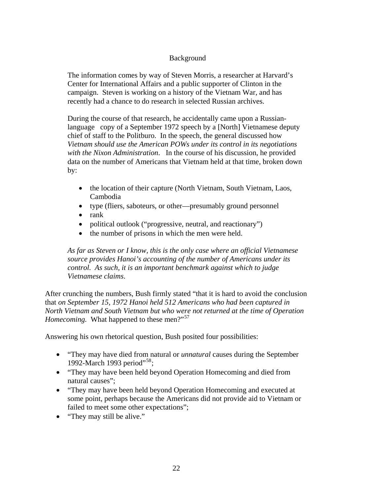## Background

The information comes by way of Steven Morris, a researcher at Harvard's Center for International Affairs and a public supporter of Clinton in the campaign. Steven is working on a history of the Vietnam War, and has recently had a chance to do research in selected Russian archives.

During the course of that research, he accidentally came upon a Russianlanguage copy of a September 1972 speech by a [North] Vietnamese deputy chief of staff to the Politburo. In the speech, the general discussed how *Vietnam should use the American POWs under its control in its negotiations with the Nixon Administration*. In the course of his discussion, he provided data on the number of Americans that Vietnam held at that time, broken down by:

- the location of their capture (North Vietnam, South Vietnam, Laos, Cambodia
- type (fliers, saboteurs, or other—presumably ground personnel
- rank
- political outlook ("progressive, neutral, and reactionary")
- the number of prisons in which the men were held.

*As far as Steven or I know, this is the only case where an official Vietnamese source provides Hanoi's accounting of the number of Americans under its control. As such, it is an important benchmark against which to judge Vietnamese claims*.

After crunching the numbers, Bush firmly stated "that it is hard to avoid the conclusion that *on September 15, 1972 Hanoi held 512 Americans who had been captured in North Vietnam and South Vietnam but who were not returned at the time of Operation Homecoming.* What happened to these men?"<sup>[57](#page-41-0)</sup>

Answering his own rhetorical question, Bush posited four possibilities:

- "They may have died from natural or *unnatural* causes during the September 1992-March 1993 period"<sup>[58](#page-41-0)</sup>;
- "They may have been held beyond Operation Homecoming and died from natural causes";
- "They may have been held beyond Operation Homecoming and executed at some point, perhaps because the Americans did not provide aid to Vietnam or failed to meet some other expectations";
- "They may still be alive."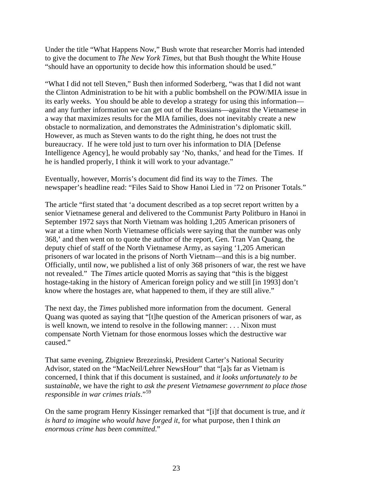Under the title "What Happens Now," Bush wrote that researcher Morris had intended to give the document to *The New York Times*, but that Bush thought the White House "should have an opportunity to decide how this information should be used."

"What I did not tell Steven," Bush then informed Soderberg, "was that I did not want the Clinton Administration to be hit with a public bombshell on the POW/MIA issue in its early weeks. You should be able to develop a strategy for using this information and any further information we can get out of the Russians—against the Vietnamese in a way that maximizes results for the MIA families, does not inevitably create a new obstacle to normalization, and demonstrates the Administration's diplomatic skill. However, as much as Steven wants to do the right thing, he does not trust the bureaucracy. If he were told just to turn over his information to DIA [Defense Intelligence Agency], he would probably say 'No, thanks,' and head for the Times. If he is handled properly, I think it will work to your advantage."

Eventually, however, Morris's document did find its way to the *Times*. The newspaper's headline read: "Files Said to Show Hanoi Lied in '72 on Prisoner Totals."

The article "first stated that 'a document described as a top secret report written by a senior Vietnamese general and delivered to the Communist Party Politburo in Hanoi in September 1972 says that North Vietnam was holding 1,205 American prisoners of war at a time when North Vietnamese officials were saying that the number was only 368,' and then went on to quote the author of the report, Gen. Tran Van Quang, the deputy chief of staff of the North Vietnamese Army, as saying '1,205 American prisoners of war located in the prisons of North Vietnam—and this is a big number. Officially, until now, we published a list of only 368 prisoners of war, the rest we have not revealed." The *Times* article quoted Morris as saying that "this is the biggest hostage-taking in the history of American foreign policy and we still [in 1993] don't know where the hostages are, what happened to them, if they are still alive."

The next day, the *Times* published more information from the document. General Quang was quoted as saying that "[t]he question of the American prisoners of war, as is well known, we intend to resolve in the following manner: . . . Nixon must compensate North Vietnam for those enormous losses which the destructive war caused."

That same evening, Zbigniew Brezezinski, President Carter's National Security Advisor, stated on the "MacNeil/Lehrer NewsHour" that "[a]s far as Vietnam is concerned, I think that if this document is sustained, and *it looks unfortunately to be sustainable*, we have the right to *ask the present Vietnamese government to place those responsible in war crimes trials*."[59](#page-41-0)

On the same program Henry Kissinger remarked that "[i]f that document is true, and *it is hard to imagine who would have forged it*, for what purpose, then I think *an enormous crime has been committed*."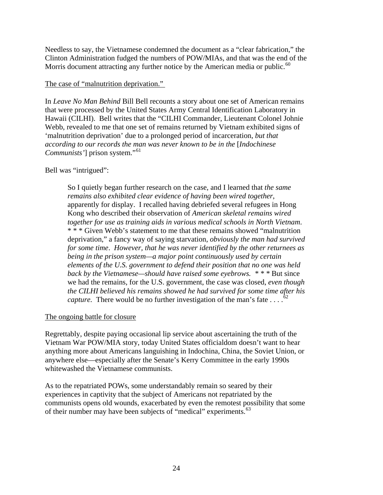Needless to say, the Vietnamese condemned the document as a "clear fabrication," the Clinton Administration fudged the numbers of POW/MIAs, and that was the end of the Morris document attracting any further notice by the American media or public.<sup>[60](#page-41-0)</sup>

### The case of "malnutrition deprivation."

In *Leave No Man Behind* Bill Bell recounts a story about one set of American remains that were processed by the United States Army Central Identification Laboratory in Hawaii (CILHI). Bell writes that the "CILHI Commander, Lieutenant Colonel Johnie Webb, revealed to me that one set of remains returned by Vietnam exhibited signs of 'malnutrition deprivation' due to a prolonged period of incarceration, *but that according to our records the man was never known to be in the* [*Indochinese Communists'*] prison system."<sup>[61](#page-41-0)</sup>

## Bell was "intrigued":

So I quietly began further research on the case, and I learned that *the same remains also exhibited clear evidence of having been wired together*, apparently for display. I recalled having debriefed several refugees in Hong Kong who described their observation of *American skeletal remains wired together for use as training aids in various medical schools in North Vietnam*. \* \* \* Given Webb's statement to me that these remains showed "malnutrition deprivation," a fancy way of saying starvation, *obviously the man had survived for some time*. *However, that he was never identified by the other returnees as being in the prison system—a major point continuously used by certain elements of the U.S. government to defend their position that no one was held back by the Vietnamese—should have raised some eyebrows. \* \* \** But since we had the remains, for the U.S. government, the case was closed, *even though the CILHI believed his remains showed he had survived for some time after his capture.* There would be no further investigation of the man's fate  $\ldots$ .<sup>[62](#page-42-0)</sup>

## The ongoing battle for closure

Regrettably, despite paying occasional lip service about ascertaining the truth of the Vietnam War POW/MIA story, today United States officialdom doesn't want to hear anything more about Americans languishing in Indochina, China, the Soviet Union, or anywhere else—especially after the Senate's Kerry Committee in the early 1990s whitewashed the Vietnamese communists.

As to the repatriated POWs, some understandably remain so seared by their experiences in captivity that the subject of Americans not repatriated by the communists opens old wounds, exacerbated by even the remotest possibility that some of their number may have been subjects of "medical" experiments.<sup>[63](#page-42-0)</sup>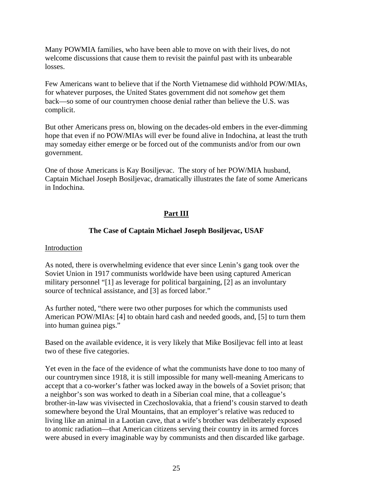Many POWMIA families, who have been able to move on with their lives, do not welcome discussions that cause them to revisit the painful past with its unbearable losses.

Few Americans want to believe that if the North Vietnamese did withhold POW/MIAs, for whatever purposes, the United States government did not *somehow* get them back—so some of our countrymen choose denial rather than believe the U.S. was complicit.

But other Americans press on, blowing on the decades-old embers in the ever-dimming hope that even if no POW/MIAs will ever be found alive in Indochina, at least the truth may someday either emerge or be forced out of the communists and/or from our own government.

One of those Americans is Kay Bosiljevac. The story of her POW/MIA husband, Captain Michael Joseph Bosiljevac, dramatically illustrates the fate of some Americans in Indochina.

## **Part III**

## **The Case of Captain Michael Joseph Bosiljevac, USAF**

### Introduction

As noted, there is overwhelming evidence that ever since Lenin's gang took over the Soviet Union in 1917 communists worldwide have been using captured American military personnel "[1] as leverage for political bargaining, [2] as an involuntary source of technical assistance, and [3] as forced labor."

As further noted, "there were two other purposes for which the communists used American POW/MIAs: [4] to obtain hard cash and needed goods, and, [5] to turn them into human guinea pigs."

Based on the available evidence, it is very likely that Mike Bosiljevac fell into at least two of these five categories.

Yet even in the face of the evidence of what the communists have done to too many of our countrymen since 1918, it is still impossible for many well-meaning Americans to accept that a co-worker's father was locked away in the bowels of a Soviet prison; that a neighbor's son was worked to death in a Siberian coal mine, that a colleague's brother-in-law was vivisected in Czechoslovakia, that a friend's cousin starved to death somewhere beyond the Ural Mountains, that an employer's relative was reduced to living like an animal in a Laotian cave, that a wife's brother was deliberately exposed to atomic radiation—that American citizens serving their country in its armed forces were abused in every imaginable way by communists and then discarded like garbage.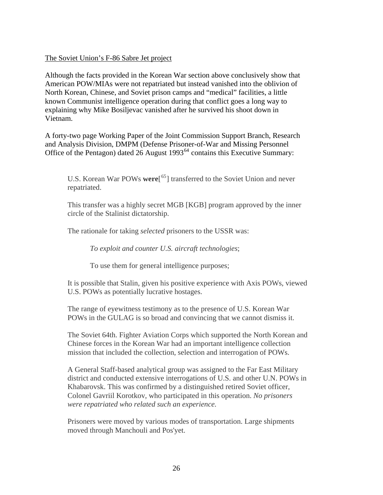### The Soviet Union's F-86 Sabre Jet project

Although the facts provided in the Korean War section above conclusively show that American POW/MIAs were not repatriated but instead vanished into the oblivion of North Korean, Chinese, and Soviet prison camps and "medical" facilities, a little known Communist intelligence operation during that conflict goes a long way to explaining why Mike Bosiljevac vanished after he survived his shoot down in Vietnam.

A forty-two page Working Paper of the Joint Commission Support Branch, Research and Analysis Division, DMPM (Defense Prisoner-of-War and Missing Personnel Office of the Pentagon) dated 26 August 1993<sup>[64](#page-42-0)</sup> contains this Executive Summary:

U.S. Korean War POWs **were**[ [65](#page-42-0)] transferred to the Soviet Union and never repatriated.

This transfer was a highly secret MGB [KGB] program approved by the inner circle of the Stalinist dictatorship.

The rationale for taking *selected* prisoners to the USSR was:

*To exploit and counter U.S. aircraft technologies*;

To use them for general intelligence purposes;

It is possible that Stalin, given his positive experience with Axis POWs, viewed U.S. POWs as potentially lucrative hostages.

The range of eyewitness testimony as to the presence of U.S. Korean War POWs in the GULAG is so broad and convincing that we cannot dismiss it.

The Soviet 64th. Fighter Aviation Corps which supported the North Korean and Chinese forces in the Korean War had an important intelligence collection mission that included the collection, selection and interrogation of POWs.

A General Staff-based analytical group was assigned to the Far East Military district and conducted extensive interrogations of U.S. and other U.N. POWs in Khabarovsk. This was confirmed by a distinguished retired Soviet officer, Colonel Gavriil Korotkov, who participated in this operation. *No prisoners were repatriated who related such an experience.*

Prisoners were moved by various modes of transportation. Large shipments moved through Manchouli and Pos'yet.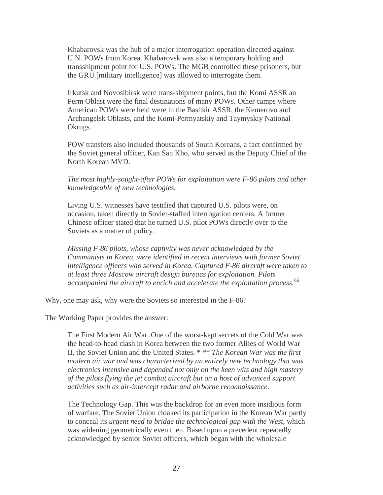Khabarovsk was the hub of a major interrogation operation directed against U.N. POWs from Korea. Khabarovsk was also a temporary holding and transshipment point for U.S. POWs. The MGB controlled these prisoners, but the GRU [military intelligence] was allowed to interrogate them.

Irkutsk and Novosibirsk were trans-shipment points, but the Komi ASSR an Perm Oblast were the final destinations of many POWs. Other camps where American POWs were held were in the Bashkir ASSR, the Kemerovo and Archangelsk Oblasts, and the Komi-Permyatskiy and Taymyskiy National Okrugs.

POW transfers also included thousands of South Koreans, a fact confirmed by the Soviet general officer, Kan San Kho, who served as the Deputy Chief of the North Korean MVD.

#### *The most highly-sought-after POWs for exploitation were F-86 pilots and other knowledgeable of new technologies.*

Living U.S. witnesses have testified that captured U.S. pilots were, on occasion, taken directly to Soviet-staffed interrogation centers. A former Chinese officer stated that he turned U.S. pilot POWs directly over to the Soviets as a matter of policy.

*Missing F-86 pilots, whose captivity was never acknowledged by the Communists in Korea, were identified in recent interviews with former Soviet intelligence officers who served in Korea. Captured F-86 aircraft were taken to at least three Moscow aircraft design bureaus for exploitation. Pilots*  accompanied the aircraft to enrich and accelerate the exploitation process.<sup>[66](#page-42-0)</sup>

Why, one may ask, why were the Soviets so interested in the F-86?

The Working Paper provides the answer:

The First Modern Air War. One of the worst-kept secrets of the Cold War was the head-to-head clash in Korea between the two former Allies of World War II, the Soviet Union and the United States. \* \*\* *The Korean War was the first modern air war and was characterized by an entirely new technology that was electronics intensive and depended not only on the keen wits and high mastery of the pilots flying the jet combat aircraft but on a host of advanced support activities such as air-intercept radar and airborne reconnaissance*.

The Technology Gap. This was the backdrop for an even more insidious form of warfare. The Soviet Union cloaked its participation in the Korean War partly to conceal its *urgent need to bridge the technological gap with the West*, which was widening geometrically even then. Based upon a precedent repeatedly acknowledged by senior Soviet officers, which began with the wholesale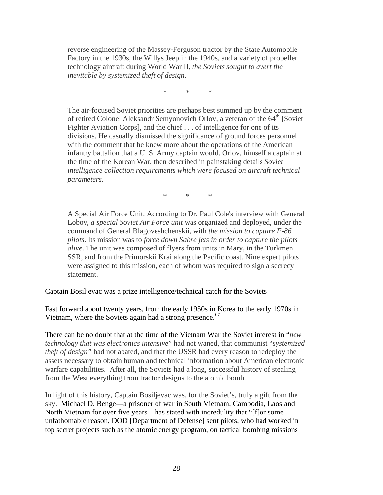reverse engineering of the Massey-Ferguson tractor by the State Automobile Factory in the 1930s, the Willys Jeep in the 1940s, and a variety of propeller technology aircraft during World War II, *the Soviets sought to avert the inevitable by systemized theft of design*.

\* \* \*

The air-focused Soviet priorities are perhaps best summed up by the comment of retired Colonel Aleksandr Semyonovich Orlov, a veteran of the  $64<sup>th</sup>$  [Soviet] Fighter Aviation Corps], and the chief . . . of intelligence for one of its divisions. He casually dismissed the significance of ground forces personnel with the comment that he knew more about the operations of the American infantry battalion that a U. S. Army captain would. Orlov, himself a captain at the time of the Korean War, then described in painstaking details *Soviet intelligence collection requirements which were focused on aircraft technical parameters*.

\* \* \*

A Special Air Force Unit. According to Dr. Paul Cole's interview with General Lobov, *a special Soviet Air Force unit* was organized and deployed, under the command of General Blagoveshchenskii, with *the mission to capture F-86 pilots*. Its mission was to *force down Sabre jets in order to capture the pilots alive*. The unit was composed of flyers from units in Mary, in the Turkmen SSR, and from the Primorskii Krai along the Pacific coast. Nine expert pilots were assigned to this mission, each of whom was required to sign a secrecy statement.

#### Captain Bosiljevac was a prize intelligence/technical catch for the Soviets

Fast forward about twenty years, from the early 1950s in Korea to the early 1970s in Vietnam, where the Soviets again had a strong presence.<sup>[67](#page-42-0)</sup>

There can be no doubt that at the time of the Vietnam War the Soviet interest in "*new technology that was electronics intensive*" had not waned, that communist "*systemized theft of design"* had not abated, and that the USSR had every reason to redeploy the assets necessary to obtain human and technical information about American electronic warfare capabilities. After all, the Soviets had a long, successful history of stealing from the West everything from tractor designs to the atomic bomb.

In light of this history, Captain Bosiljevac was, for the Soviet's, truly a gift from the sky. Michael D. Benge—a prisoner of war in South Vietnam, Cambodia, Laos and North Vietnam for over five years—has stated with incredulity that "[f]or some unfathomable reason, DOD [Department of Defense] sent pilots, who had worked in top secret projects such as the atomic energy program, on tactical bombing missions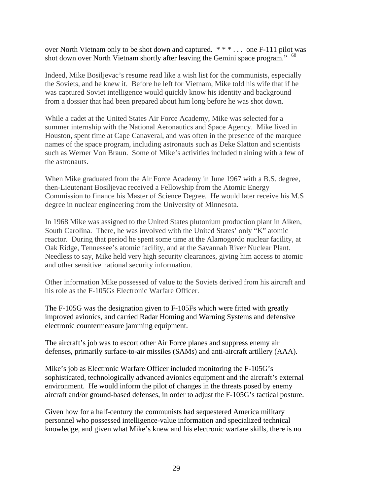over North Vietnam only to be shot down and captured. \* \* \* . . . one F-111 pilot was shot down over North Vietnam shortly after leaving the Gemini space program." <sup>[68](#page-42-0)</sup>

Indeed, Mike Bosiljevac's resume read like a wish list for the communists, especially the Soviets, and he knew it. Before he left for Vietnam, Mike told his wife that if he was captured Soviet intelligence would quickly know his identity and background from a dossier that had been prepared about him long before he was shot down.

While a cadet at the United States Air Force Academy, Mike was selected for a summer internship with the National Aeronautics and Space Agency. Mike lived in Houston, spent time at Cape Canaveral, and was often in the presence of the marquee names of the space program, including astronauts such as Deke Slatton and scientists such as Werner Von Braun. Some of Mike's activities included training with a few of the astronauts.

When Mike graduated from the Air Force Academy in June 1967 with a B.S. degree, then-Lieutenant Bosiljevac received a Fellowship from the Atomic Energy Commission to finance his Master of Science Degree. He would later receive his M.S degree in nuclear engineering from the University of Minnesota.

In 1968 Mike was assigned to the United States plutonium production plant in Aiken, South Carolina. There, he was involved with the United States' only "K" atomic reactor. During that period he spent some time at the Alamogordo nuclear facility, at Oak Ridge, Tennessee's atomic facility, and at the Savannah River Nuclear Plant. Needless to say, Mike held very high security clearances, giving him access to atomic and other sensitive national security information.

Other information Mike possessed of value to the Soviets derived from his aircraft and his role as the F-105Gs Electronic Warfare Officer.

The F-105G was the designation given to F-105Fs which were fitted with greatly improved avionics, and carried Radar Homing and Warning Systems and defensive electronic countermeasure jamming equipment.

The aircraft's job was to escort other Air Force planes and suppress enemy air defenses, primarily surface-to-air missiles (SAMs) and anti-aircraft artillery (AAA).

Mike's job as Electronic Warfare Officer included monitoring the F-105G's sophisticated, technologically advanced avionics equipment and the aircraft's external environment. He would inform the pilot of changes in the threats posed by enemy aircraft and/or ground-based defenses, in order to adjust the F-105G's tactical posture.

Given how for a half-century the communists had sequestered America military personnel who possessed intelligence-value information and specialized technical knowledge, and given what Mike's knew and his electronic warfare skills, there is no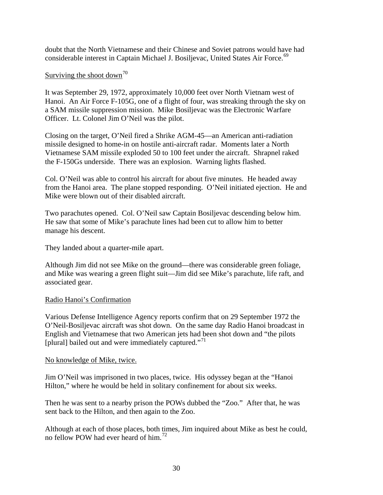doubt that the North Vietnamese and their Chinese and Soviet patrons would have had considerable interest in Captain Michael J. Bosiljevac, United States Air Force.<sup>[69](#page-43-0)</sup>

### Surviving the shoot down<sup>[70](#page-43-0)</sup>

It was September 29, 1972, approximately 10,000 feet over North Vietnam west of Hanoi. An Air Force F-105G, one of a flight of four, was streaking through the sky on a SAM missile suppression mission. Mike Bosiljevac was the Electronic Warfare Officer. Lt. Colonel Jim O'Neil was the pilot.

Closing on the target, O'Neil fired a Shrike AGM-45—an American anti-radiation missile designed to home-in on hostile anti-aircraft [radar](http://en.wikipedia.org/wiki/Radar). Moments later a North Vietnamese SAM missile exploded 50 to 100 feet under the aircraft. Shrapnel raked the F-150Gs underside. There was an explosion. Warning lights flashed.

Col. O'Neil was able to control his aircraft for about five minutes. He headed away from the Hanoi area. The plane stopped responding. O'Neil initiated ejection. He and Mike were blown out of their disabled aircraft.

Two parachutes opened. Col. O'Neil saw Captain Bosiljevac descending below him. He saw that some of Mike's parachute lines had been cut to allow him to better manage his descent.

They landed about a quarter-mile apart.

Although Jim did not see Mike on the ground—there was considerable green foliage, and Mike was wearing a green flight suit—Jim did see Mike's parachute, life raft, and associated gear.

### Radio Hanoi's Confirmation

Various Defense Intelligence Agency reports confirm that on 29 September 1972 the O'Neil-Bosiljevac aircraft was shot down. On the same day Radio Hanoi broadcast in English and Vietnamese that two American jets had been shot down and "the pilots [plural] bailed out and were immediately captured."<sup>[71](#page-43-0)</sup>

### No knowledge of Mike, twice.

Jim O'Neil was imprisoned in two places, twice. His odyssey began at the "Hanoi Hilton," where he would be held in solitary confinement for about six weeks.

Then he was sent to a nearby prison the POWs dubbed the "Zoo." After that, he was sent back to the Hilton, and then again to the Zoo.

Although at each of those places, both times, Jim inquired about Mike as best he could, no fellow POW had ever heard of him.[72](#page-44-0)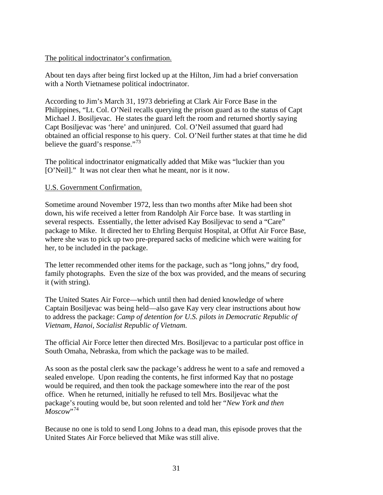### The political indoctrinator's confirmation.

About ten days after being first locked up at the Hilton, Jim had a brief conversation with a North Vietnamese political indoctrinator.

According to Jim's March 31, 1973 debriefing at Clark Air Force Base in the Philippines, "Lt. Col. O'Neil recalls querying the prison guard as to the status of Capt Michael J. Bosiljevac. He states the guard left the room and returned shortly saying Capt Bosiljevac was 'here' and uninjured. Col. O'Neil assumed that guard had obtained an official response to his query. Col. O'Neil further states at that time he did believe the guard's response."<sup>[73](#page-44-0)</sup>

The political indoctrinator enigmatically added that Mike was "luckier than you [O'Neil]." It was not clear then what he meant, nor is it now.

### U.S. Government Confirmation.

Sometime around November 1972, less than two months after Mike had been shot down, his wife received a letter from Randolph Air Force base. It was startling in several respects. Essentially, the letter advised Kay Bosiljevac to send a "Care" package to Mike. It directed her to Ehrling Berquist Hospital, at Offut Air Force Base, where she was to pick up two pre-prepared sacks of medicine which were waiting for her, to be included in the package.

The letter recommended other items for the package, such as "long johns," dry food, family photographs. Even the size of the box was provided, and the means of securing it (with string).

The United States Air Force—which until then had denied knowledge of where Captain Bosiljevac was being held—also gave Kay very clear instructions about how to address the package: *Camp of detention for U.S. pilots in Democratic Republic of Vietnam, Hanoi, Socialist Republic of Vietnam.* 

The official Air Force letter then directed Mrs. Bosiljevac to a particular post office in South Omaha, Nebraska, from which the package was to be mailed.

As soon as the postal clerk saw the package's address he went to a safe and removed a sealed envelope. Upon reading the contents, he first informed Kay that no postage would be required, and then took the package somewhere into the rear of the post office. When he returned, initially he refused to tell Mrs. Bosiljevac what the package's routing would be, but soon relented and told her "*New York and then*   $M_{\alpha\text{scow}}^{V,74}$  $M_{\alpha\text{scow}}^{V,74}$  $M_{\alpha\text{scow}}^{V,74}$ 

Because no one is told to send Long Johns to a dead man, this episode proves that the United States Air Force believed that Mike was still alive.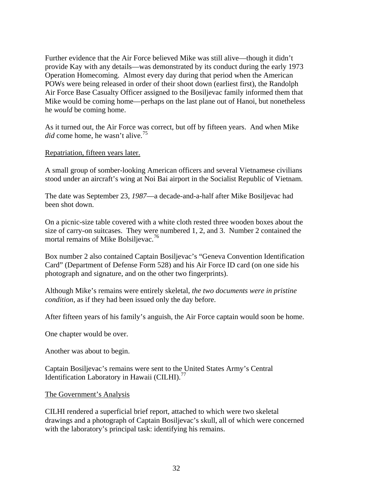Further evidence that the Air Force believed Mike was still alive—though it didn't provide Kay with any details—was demonstrated by its conduct during the early 1973 Operation Homecoming. Almost every day during that period when the American POWs were being released in order of their shoot down (earliest first), the Randolph Air Force Base Casualty Officer assigned to the Bosiljevac family informed them that Mike would be coming home—perhaps on the last plane out of Hanoi, but nonetheless he *would* be coming home.

As it turned out, the Air Force was correct, but off by fifteen years. And when Mike *did* come home, he wasn't alive.<sup>[75](#page-44-0)</sup>

Repatriation, fifteen years later.

A small group of somber-looking American officers and several Vietnamese civilians stood under an aircraft's wing at Noi Bai airport in the Socialist Republic of Vietnam.

The date was September 23, *1987*—a decade-and-a-half after Mike Bosiljevac had been shot down.

On a picnic-size table covered with a white cloth rested three wooden boxes about the size of carry-on suitcases. They were numbered 1, 2, and 3. Number 2 contained the mortal remains of Mike Bolsiljevac.<sup>[76](#page-44-0)</sup>

Box number 2 also contained Captain Bosiljevac's "Geneva Convention Identification Card" (Department of Defense Form 528) and his Air Force ID card (on one side his photograph and signature, and on the other two fingerprints).

Although Mike's remains were entirely skeletal, *the two documents were in pristine condition*, as if they had been issued only the day before.

After fifteen years of his family's anguish, the Air Force captain would soon be home.

One chapter would be over.

Another was about to begin.

Captain Bosiljevac's remains were sent to the United States Army's Central Identification Laboratory in Hawaii (CILHI). $^{77}$  $^{77}$  $^{77}$ 

### The Government's Analysis

CILHI rendered a superficial brief report, attached to which were two skeletal drawings and a photograph of Captain Bosiljevac's skull, all of which were concerned with the laboratory's principal task: identifying his remains.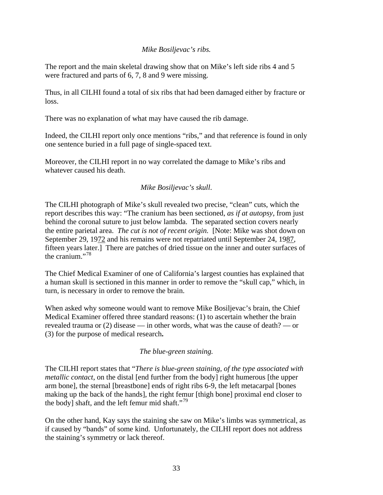### *Mike Bosiljevac's ribs.*

The report and the main skeletal drawing show that on Mike's left side ribs 4 and 5 were fractured and parts of 6, 7, 8 and 9 were missing.

Thus, in all CILHI found a total of six ribs that had been damaged either by fracture or loss.

There was no explanation of what may have caused the rib damage.

Indeed, the CILHI report only once mentions "ribs," and that reference is found in only one sentence buried in a full page of single-spaced text.

Moreover, the CILHI report in no way correlated the damage to Mike's ribs and whatever caused his death.

## *Mike Bosiljevac's skull*.

The CILHI photograph of Mike's skull revealed two precise, "clean" cuts, which the report describes this way: "The cranium has been sectioned, *as if at autopsy*, from just behind the coronal suture to just below lambda. The separated section covers nearly the entire parietal area. *The cut is not of recent origin.* [Note: Mike was shot down on September 29, 1972 and his remains were not repatriated until September 24, 1987, fifteen years later.] There are patches of dried tissue on the inner and outer surfaces of the cranium $^{378}$  $^{378}$  $^{378}$ 

The Chief Medical Examiner of one of California's largest counties has explained that a human skull is sectioned in this manner in order to remove the "skull cap," which, in turn, is necessary in order to remove the brain.

When asked why someone would want to remove Mike Bosiljevac's brain, the Chief Medical Examiner offered three standard reasons: (1) to ascertain whether the brain revealed trauma or (2) disease — in other words, what was the cause of death? — or (3) for the purpose of medical research**.** 

## *The blue-green staining.*

The CILHI report states that "*There is blue-green staining, of the type associated with metallic contact*, on the distal [end further from the body] right humerous [the upper arm bone], the sternal [breastbone] ends of right ribs 6-9, the left metacarpal [bones making up the back of the hands], the right femur [thigh bone] proximal end closer to the body] shaft, and the left femur mid shaft."<sup>[79](#page-45-0)</sup>

On the other hand, Kay says the staining she saw on Mike's limbs was symmetrical, as if caused by "bands" of some kind. Unfortunately, the CILHI report does not address the staining's symmetry or lack thereof.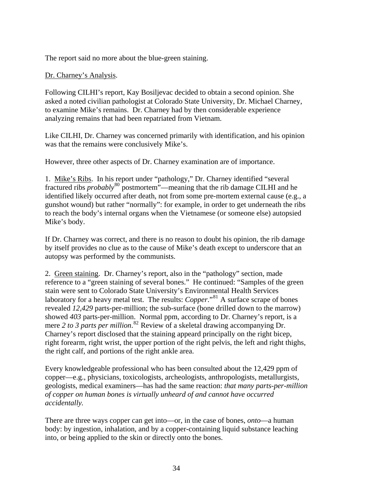The report said no more about the blue-green staining.

### Dr. Charney's Analysis.

Following CILHI's report, Kay Bosiljevac decided to obtain a second opinion. She asked a noted civilian pathologist at Colorado State University, Dr. Michael Charney, to examine Mike's remains. Dr. Charney had by then considerable experience analyzing remains that had been repatriated from Vietnam.

Like CILHI, Dr. Charney was concerned primarily with identification, and his opinion was that the remains were conclusively Mike's.

However, three other aspects of Dr. Charney examination are of importance.

1. Mike's Ribs. In his report under "pathology," Dr. Charney identified "several fractured ribs *probably*[80](#page-45-0) postmortem"—meaning that the rib damage CILHI and he identified likely occurred after death, not from some pre-mortem external cause (e.g., a gunshot wound) but rather "normally": for example, in order to get underneath the ribs to reach the body's internal organs when the Vietnamese (or someone else) autopsied Mike's body.

If Dr. Charney was correct, and there is no reason to doubt his opinion, the rib damage by itself provides no clue as to the cause of Mike's death except to underscore that an autopsy was performed by the communists.

2. Green staining. Dr. Charney's report, also in the "pathology" section, made reference to a "green staining of several bones." He continued: "Samples of the green stain were sent to Colorado State University's Environmental Health Services laboratory for a heavy metal test. The results: *Copper*.<sup>[81](#page-45-0)</sup> A surface scrape of bones revealed *12,429* parts-per-million; the sub-surface (bone drilled down to the marrow) showed *403* parts-per-million. Normal ppm, according to Dr. Charney's report, is a mere 2 to 3 parts per million.<sup>[82](#page-45-0)</sup> Review of a skeletal drawing accompanying Dr. Charney's report disclosed that the staining appeard principally on the right bicep, right forearm, right wrist, the upper portion of the right pelvis, the left and right thighs, the right calf, and portions of the right ankle area.

Every knowledgeable professional who has been consulted about the 12,429 ppm of copper—e.g., physicians, toxicologists, archeologists, anthropologists, metallurgists, geologists, medical examiners—has had the same reaction: *that many parts-per-million of copper on human bones is virtually unheard of and cannot have occurred accidentally.* 

There are three ways copper can get into—or, in the case of bones, *onto*—a human body: by ingestion, inhalation, and by a copper-containing liquid substance leaching into, or being applied to the skin or directly onto the bones.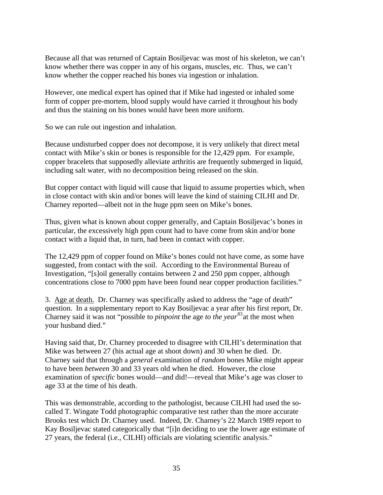Because all that was returned of Captain Bosiljevac was most of his skeleton, we can't know whether there was copper in any of his organs, muscles, etc. Thus, we can't know whether the copper reached his bones via ingestion or inhalation.

However, one medical expert has opined that if Mike had ingested or inhaled some form of copper pre-mortem, blood supply would have carried it throughout his body and thus the staining on his bones would have been more uniform.

So we can rule out ingestion and inhalation.

Because undisturbed copper does not decompose, it is very unlikely that direct metal contact with Mike's skin or bones is responsible for the 12,429 ppm. For example, copper bracelets that supposedly alleviate arthritis are frequently submerged in liquid, including salt water, with no decomposition being released on the skin.

But copper contact with liquid will cause that liquid to assume properties which, when in close contact with skin and/or bones will leave the kind of staining CILHI and Dr. Charney reported—albeit not in the huge ppm seen on Mike's bones.

Thus, given what is known about copper generally, and Captain Bosiljevac's bones in particular, the excessively high ppm count had to have come from skin and/or bone contact with a liquid that, in turn, had been in contact with copper.

The 12,429 ppm of copper found on Mike's bones could not have come, as some have suggested, from contact with the soil. According to the Environmental Bureau of Investigation, "[s]oil generally contains between 2 and 250 ppm copper, although concentrations close to 7000 ppm have been found near copper production facilities."

3. Age at death. Dr. Charney was specifically asked to address the "age of death" question. In a supplementary report to Kay Bosiljevac a year after his first report, Dr. Charney said it was not "possible to *pinpoint* the age *to the year*<sup>[83](#page-45-0)</sup> at the most when your husband died."

Having said that, Dr. Charney proceeded to disagree with CILHI's determination that Mike was between 27 (his actual age at shoot down) and 30 when he died. Dr. Charney said that through a *general* examination of *random* bones Mike might appear to have been *between* 30 and 33 years old when he died. However, the close examination of *specific* bones would—and did!—reveal that Mike's age was closer to age 33 at the time of his death.

This was demonstrable, according to the pathologist, because CILHI had used the socalled T. Wingate Todd photographic comparative test rather than the more accurate Brooks test which Dr. Charney used. Indeed, Dr. Charney's 22 March 1989 report to Kay Bosiljevac stated categorically that "[i]n deciding to use the lower age estimate of 27 years, the federal (i.e., CILHI) officials are violating scientific analysis."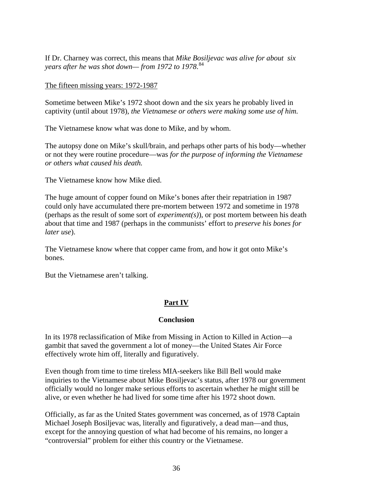If Dr. Charney was correct, this means that *Mike Bosiljevac was alive for about six years after he was shot down— from 1972 to 1978*. [84](#page-45-0)

The fifteen missing years: 1972-1987

Sometime between Mike's 1972 shoot down and the six years he probably lived in captivity (until about 1978), *the Vietnamese or others were making some use of him.* 

The Vietnamese know what was done to Mike, and by whom.

The autopsy done on Mike's skull/brain, and perhaps other parts of his body—whether or not they were routine procedure—was *for the purpose of informing the Vietnamese or others what caused his death.* 

The Vietnamese know how Mike died.

The huge amount of copper found on Mike's bones after their repatriation in 1987 could only have accumulated there pre-mortem between 1972 and sometime in 1978 (perhaps as the result of some sort of *experiment(s)*), or post mortem between his death about that time and 1987 (perhaps in the communists' effort to *preserve his bones for later use*).

The Vietnamese know where that copper came from, and how it got onto Mike's bones.

But the Vietnamese aren't talking.

# **Part IV**

## **Conclusion**

In its 1978 reclassification of Mike from Missing in Action to Killed in Action—a gambit that saved the government a lot of money—the United States Air Force effectively wrote him off, literally and figuratively.

Even though from time to time tireless MIA-seekers like Bill Bell would make inquiries to the Vietnamese about Mike Bosiljevac's status, after 1978 our government officially would no longer make serious efforts to ascertain whether he might still be alive, or even whether he had lived for some time after his 1972 shoot down.

Officially, as far as the United States government was concerned, as of 1978 Captain Michael Joseph Bosiljevac was, literally and figuratively, a dead man—and thus, except for the annoying question of what had become of his remains, no longer a "controversial" problem for either this country or the Vietnamese.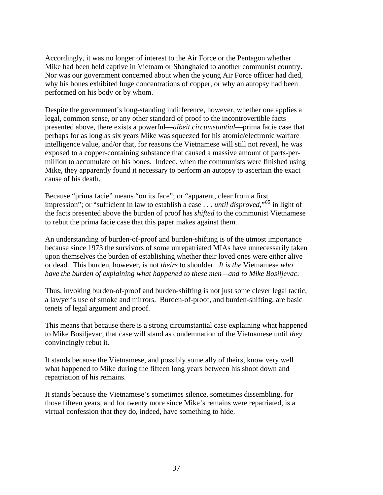Accordingly, it was no longer of interest to the Air Force or the Pentagon whether Mike had been held captive in Vietnam or Shanghaied to another communist country. Nor was our government concerned about when the young Air Force officer had died, why his bones exhibited huge concentrations of copper, or why an autopsy had been performed on his body or by whom.

Despite the government's long-standing indifference, however, whether one applies a legal, common sense, or any other standard of proof to the incontrovertible facts presented above, there exists a powerful—*albeit circumstantial*—prima facie case that perhaps for as long as six years Mike was squeezed for his atomic/electronic warfare intelligence value, and/or that, for reasons the Vietnamese will still not reveal, he was exposed to a copper-containing substance that caused a massive amount of parts-permillion to accumulate on his bones. Indeed, when the communists were finished using Mike, they apparently found it necessary to perform an autopsy to ascertain the exact cause of his death.

Because "prima facie" means "on its face"; or "apparent, clear from a first impression"; or "sufficient in law to establish a case . . . *until disproved*,"[85](#page-45-0) in light of the facts presented above the burden of proof has *shifted* to the communist Vietnamese to rebut the prima facie case that this paper makes against them.

An understanding of burden-of-proof and burden-shifting is of the utmost importance because since 1973 the survivors of some unrepatriated MIAs have unnecessarily taken upon themselves the burden of establishing whether their loved ones were either alive or dead. This burden, however, is not *theirs* to shoulder. *It is the* Vietnamese *who have the burden of explaining what happened to these men—and to Mike Bosiljevac*.

Thus, invoking burden-of-proof and burden-shifting is not just some clever legal tactic, a lawyer's use of smoke and mirrors. Burden-of-proof, and burden-shifting, are basic tenets of legal argument and proof.

This means that because there is a strong circumstantial case explaining what happened to Mike Bosiljevac, that case will stand as condemnation of the Vietnamese until *they* convincingly rebut it.

It stands because the Vietnamese, and possibly some ally of theirs, know very well what happened to Mike during the fifteen long years between his shoot down and repatriation of his remains.

It stands because the Vietnamese's sometimes silence, sometimes dissembling, for those fifteen years, and for twenty more since Mike's remains were repatriated, is a virtual confession that they do, indeed, have something to hide.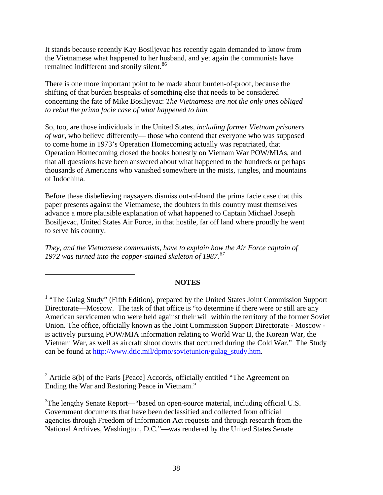<span id="page-37-1"></span>It stands because recently Kay Bosiljevac has recently again demanded to know from the Vietnamese what happened to her husband, and yet again the communists have remained indifferent and stonily silent.<sup>[86](#page-45-0)</sup>

There is one more important point to be made about burden-of-proof, because the shifting of that burden bespeaks of something else that needs to be considered concerning the fate of Mike Bosiljevac: *The Vietnamese are not the only ones obliged to rebut the prima facie case of what happened to him.* 

So, too, are those individuals in the United States, *including former Vietnam prisoners of war,* who believe differently— those who contend that everyone who was supposed to come home in 1973's Operation Homecoming actually was repatriated, that Operation Homecoming closed the books honestly on Vietnam War POW/MIAs, and that all questions have been answered about what happened to the hundreds or perhaps thousands of Americans who vanished somewhere in the mists, jungles, and mountains of Indochina.

Before these disbelieving naysayers dismiss out-of-hand the prima facie case that this paper presents against the Vietnamese, the doubters in this country must themselves advance a more plausible explanation of what happened to Captain Michael Joseph Bosiljevac, United States Air Force, in that hostile, far off land where proudly he went to serve his country.

*They, and the Vietnamese communists, have to explain how the Air Force captain of 1972 was turned into the copper-stained skeleton of 1987.[87](#page-45-0)*

 $\overline{a}$ 

### **NOTES**

 $2^2$  Article 8(b) of the Paris [Peace] Accords, officially entitled "The Agreement on Ending the War and Restoring Peace in Vietnam."

 $3$ The lengthy Senate Report—"based on open-source material, including official U.S. Government documents that have been declassified and collected from official agencies through Freedom of Information Act requests and through research from the National Archives, Washington, D.C."—was rendered by the United States Senate

<span id="page-37-0"></span><sup>&</sup>lt;sup>1</sup> "The Gulag Study" (Fifth Edition), prepared by the United States Joint Commission Support Directorate—Moscow. The task of that office is "to determine if there were or still are any American servicemen who were held against their will within the territory of the former Soviet Union. The office, officially known as the Joint Commission Support Directorate - Moscow is actively pursuing POW/MIA information relating to World War II, the Korean War, the Vietnam War, as well as aircraft shoot downs that occurred during the Cold War." The Study can be found at [http://www.dtic.mil/dpmo/sovietunion/gulag\\_study.htm.](http://www.dtic.mil/dpmo/sovietunion/gulag_study.htm)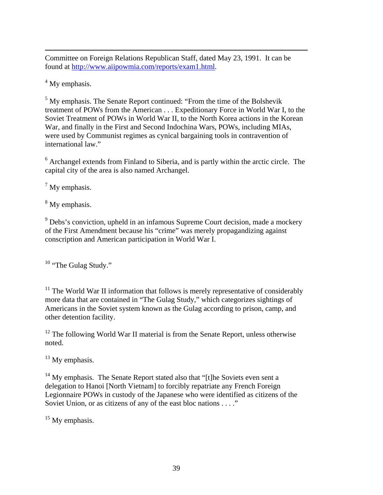<span id="page-38-0"></span> $\overline{a}$ Committee on Foreign Relations Republican Staff, dated May 23, 1991. It can be found at [http://www.aiipowmia.com/reports/exam1.html.](http://www.aiipowmia.com/reports/exam1.html)

<sup>4</sup> My emphasis.

<sup>5</sup> My emphasis. The Senate Report continued: "From the time of the Bolshevik treatment of POWs from the American . . . Expeditionary Force in World War I, to the Soviet Treatment of POWs in World War II, to the North Korea actions in the Korean War, and finally in the First and Second Indochina Wars, POWs, including MIAs, were used by Communist regimes as cynical bargaining tools in contravention of international law."

<sup>6</sup> Archangel extends from Finland to Siberia, and is partly within the arctic circle. The capital city of the area is also named Archangel.

 $7$  My emphasis.

<sup>8</sup> My emphasis.

<sup>9</sup> Debs's conviction, upheld in an infamous Supreme Court decision, made a mockery of the First Amendment because his "crime" was merely propagandizing against conscription and American participation in World War I.

 $10$  "The Gulag Study."

<sup>11</sup> The World War II information that follows is merely representative of considerably more data that are contained in "The Gulag Study," which categorizes sightings of Americans in the Soviet system known as the Gulag according to prison, camp, and other detention facility.

 $12$  The following World War II material is from the Senate Report, unless otherwise noted.

 $13$  My emphasis.

<sup>14</sup> My emphasis. The Senate Report stated also that "[t]he Soviets even sent a delegation to Hanoi [North Vietnam] to forcibly repatriate any French Foreign Legionnaire POWs in custody of the Japanese who were identified as citizens of the Soviet Union, or as citizens of any of the east bloc nations . . . ."

 $15$  My emphasis.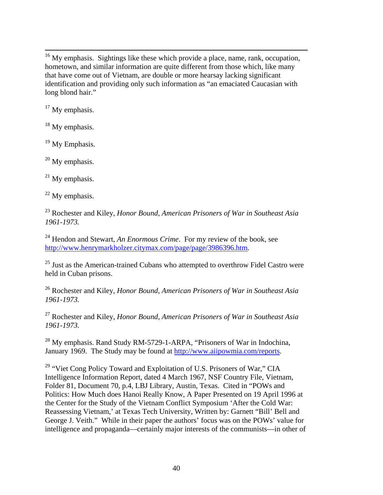<span id="page-39-0"></span><sup>16</sup> My emphasis. Sightings like these which provide a place, name, rank, occupation, hometown, and similar information are quite different from those which, like many that have come out of Vietnam, are double or more hearsay lacking significant identification and providing only such information as "an emaciated Caucasian with long blond hair."

 $17$  My emphasis.

 $18$  My emphasis.

<sup>19</sup> My Emphasis.

 $20$  My emphasis.

 $21$  My emphasis.

 $22$  My emphasis.

23 Rochester and Kiley, *Honor Bound, American Prisoners of War in Southeast Asia 1961-1973.* 

24 Hendon and Stewart, *An Enormous Crime*. For my review of the book, see [http://www.henrymarkholzer.citymax.com/page/page/3986396.htm.](http://www.henrymarkholzer.citymax.com/page/page/3986396.htm)

<sup>25</sup> Just as the American-trained Cubans who attempted to overthrow Fidel Castro were held in Cuban prisons.

26 Rochester and Kiley, *Honor Bound, American Prisoners of War in Southeast Asia 1961-1973.* 

27 Rochester and Kiley, *Honor Bound, American Prisoners of War in Southeast Asia 1961-1973.* 

<sup>28</sup> My emphasis. Rand Study RM-5729-1-ARPA, "Prisoners of War in Indochina, January 1969. The Study may be found at <http://www.aiipowmia.com/reports>.

<sup>29</sup> "Viet Cong Policy Toward and Exploitation of U.S. Prisoners of War," CIA Intelligence Information Report, dated 4 March 1967, NSF Country File, Vietnam, Folder 81, Document 70, p.4, LBJ Library, Austin, Texas. Cited in "POWs and Politics: How Much does Hanoi Really Know, A Paper Presented on 19 April 1996 at the Center for the Study of the Vietnam Conflict Symposium 'After the Cold War: Reassessing Vietnam,' at Texas Tech University, Written by: Garnett "Bill' Bell and George J. Veith." While in their paper the authors' focus was on the POWs' value for intelligence and propaganda—certainly major interests of the communists—in other of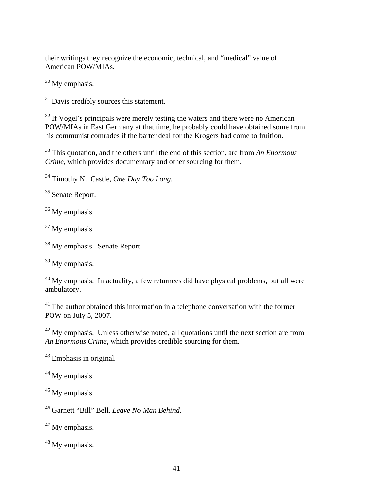<span id="page-40-0"></span>their writings they recognize the economic, technical, and "medical" value of American POW/MIAs.

<sup>30</sup> My emphasis.

 $\overline{a}$ 

<sup>31</sup> Davis credibly sources this statement.

 $32$  If Vogel's principals were merely testing the waters and there were no American POW/MIAs in East Germany at that time, he probably could have obtained some from his communist comrades if the barter deal for the Krogers had come to fruition.

33 This quotation, and the others until the end of this section, are from *An Enormous Crime*, which provides documentary and other sourcing for them.

34 Timothy N. Castle, *One Day Too Long*.

<sup>35</sup> Senate Report.

<sup>36</sup> My emphasis.

<sup>37</sup> My emphasis.

<sup>38</sup> My emphasis. Senate Report.

<sup>39</sup> My emphasis.

 $40$  My emphasis. In actuality, a few returnees did have physical problems, but all were ambulatory.

<sup>41</sup> The author obtained this information in a telephone conversation with the former POW on July 5, 2007.

 $42$  My emphasis. Unless otherwise noted, all quotations until the next section are from *An Enormous Crime*, which provides credible sourcing for them.

43 Emphasis in original*.* 

 $44$  My emphasis.

<sup>45</sup> My emphasis.

46 Garnett "Bill" Bell, *Leave No Man Behind.* 

<sup>47</sup> My emphasis.

<sup>48</sup> My emphasis.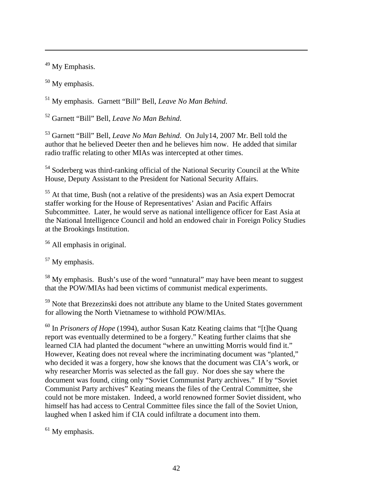<sup>49</sup> My Emphasis.

<span id="page-41-0"></span> $\overline{a}$ 

<sup>50</sup> My emphasis.

51 My emphasis. Garnett "Bill" Bell, *Leave No Man Behind*.

52 Garnett "Bill" Bell, *Leave No Man Behind*.

53 Garnett "Bill" Bell, *Leave No Man Behind*. On July14, 2007 Mr. Bell told the author that he believed Deeter then and he believes him now. He added that similar radio traffic relating to other MIAs was intercepted at other times.

<sup>54</sup> Soderberg was third-ranking official of the National Security Council at the White House, Deputy Assistant to the President for National Security Affairs.

55 At that time, Bush (not a relative of the presidents) was an Asia expert Democrat staffer working for the House of Representatives' Asian and Pacific Affairs Subcommittee. Later, he would serve as national intelligence officer for East Asia at the National Intelligence Council and hold an endowed chair in Foreign Policy Studies at the Brookings Institution.

56 All emphasis in original.

<sup>57</sup> My emphasis.

<sup>58</sup> My emphasis. Bush's use of the word "unnatural" may have been meant to suggest that the POW/MIAs had been victims of communist medical experiments.

<sup>59</sup> Note that Brezezinski does not attribute any blame to the United States government for allowing the North Vietnamese to withhold POW/MIAs.

60 In *Prisoners of Hope* (1994), author Susan Katz Keating claims that "[t]he Quang report was eventually determined to be a forgery." Keating further claims that she learned CIA had planted the document "where an unwitting Morris would find it." However, Keating does not reveal where the incriminating document was "planted," who decided it was a forgery, how she knows that the document was CIA's work, or why researcher Morris was selected as the fall guy. Nor does she say where the document was found, citing only "Soviet Communist Party archives." If by "Soviet Communist Party archives" Keating means the files of the Central Committee, she could not be more mistaken. Indeed, a world renowned former Soviet dissident, who himself has had access to Central Committee files since the fall of the Soviet Union, laughed when I asked him if CIA could infiltrate a document into them.

 $<sup>61</sup>$  My emphasis.</sup>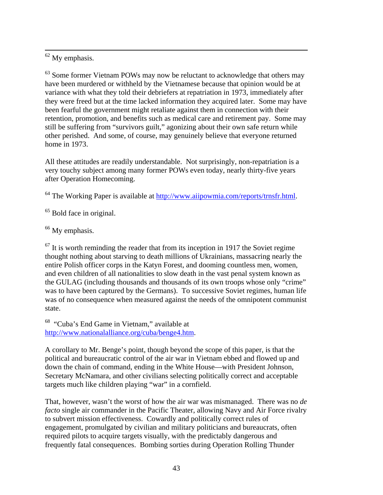<span id="page-42-0"></span>62 My emphasis.

 $63$  Some former Vietnam POWs may now be reluctant to acknowledge that others may have been murdered or withheld by the Vietnamese because that opinion would be at variance with what they told their debriefers at repatriation in 1973, immediately after they were freed but at the time lacked information they acquired later. Some may have been fearful the government might retaliate against them in connection with their retention, promotion, and benefits such as medical care and retirement pay. Some may still be suffering from "survivors guilt," agonizing about their own safe return while other perished. And some, of course, may genuinely believe that everyone returned home in 1973.

All these attitudes are readily understandable. Not surprisingly, non-repatriation is a very touchy subject among many former POWs even today, nearly thirty-five years after Operation Homecoming.

<sup>64</sup> The Working Paper is available at [http://www.aiipowmia.com/reports/trnsfr.html.](http://www.aiipowmia.com/reports/trnsfr.html)

 $<sup>65</sup>$  Bold face in original.</sup>

<sup>66</sup> My emphasis.

 $67$  It is worth reminding the reader that from its inception in 1917 the Soviet regime thought nothing about starving to death millions of Ukrainians, massacring nearly the entire Polish officer corps in the Katyn Forest, and dooming countless men, women, and even children of all nationalities to slow death in the vast penal system known as the GULAG (including thousands and thousands of its own troops whose only "crime" was to have been captured by the Germans). To successive Soviet regimes, human life was of no consequence when measured against the needs of the omnipotent communist state.

68 "Cuba's End Game in Vietnam," available at <http://www.nationalalliance.org/cuba/benge4.htm>.

A corollary to Mr. Benge's point, though beyond the scope of this paper, is that the political and bureaucratic control of the air war in Vietnam ebbed and flowed up and down the chain of command, ending in the White House—with President Johnson, Secretary McNamara, and other civilians selecting politically correct and acceptable targets much like children playing "war" in a cornfield.

That, however, wasn't the worst of how the air war was mismanaged. There was no *de facto* single air commander in the Pacific Theater, allowing Navy and Air Force rivalry to subvert mission effectiveness. Cowardly and politically correct rules of engagement, promulgated by civilian and military politicians and bureaucrats, often required pilots to acquire targets visually, with the predictably dangerous and frequently fatal consequences. Bombing sorties during Operation Rolling Thunder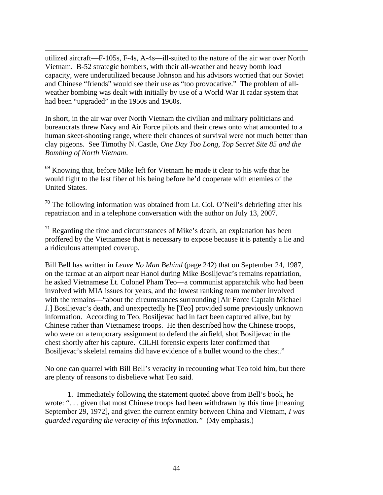<span id="page-43-0"></span>utilized aircraft—F-105s, F-4s, A-4s—ill-suited to the nature of the air war over North Vietnam. B-52 strategic bombers, with their all-weather and heavy bomb load capacity, were underutilized because Johnson and his advisors worried that our Soviet and Chinese "friends" would see their use as "too provocative." The problem of allweather bombing was dealt with initially by use of a World War II radar system that had been "upgraded" in the 1950s and 1960s.

 $\overline{a}$ 

In short, in the air war over North Vietnam the civilian and military politicians and bureaucrats threw Navy and Air Force pilots and their crews onto what amounted to a human skeet-shooting range, where their chances of survival were not much better than clay pigeons. See Timothy N. Castle, *One Day Too Long, Top Secret Site 85 and the Bombing of North Vietnam*.

69 Knowing that, before Mike left for Vietnam he made it clear to his wife that he would fight to the last fiber of his being before he'd cooperate with enemies of the United States.

 $70$  The following information was obtained from Lt. Col. O'Neil's debriefing after his repatriation and in a telephone conversation with the author on July 13, 2007.

 $<sup>71</sup>$  Regarding the time and circumstances of Mike's death, an explanation has been</sup> proffered by the Vietnamese that is necessary to expose because it is patently a lie and a ridiculous attempted coverup.

Bill Bell has written in *Leave No Man Behind* (page 242) that on September 24, 1987, on the tarmac at an airport near Hanoi during Mike Bosiljevac's remains repatriation, he asked Vietnamese Lt. Colonel Pham Teo—a communist apparatchik who had been involved with MIA issues for years, and the lowest ranking team member involved with the remains—"about the circumstances surrounding [Air Force Captain Michael] J.] Bosiljevac's death, and unexpectedly he [Teo] provided some previously unknown information. According to Teo, Bosiljevac had in fact been captured alive, but by Chinese rather than Vietnamese troops. He then described how the Chinese troops, who were on a temporary assignment to defend the airfield, shot Bosiljevac in the chest shortly after his capture. CILHI forensic experts later confirmed that Bosiljevac's skeletal remains did have evidence of a bullet wound to the chest."

No one can quarrel with Bill Bell's veracity in recounting what Teo told him, but there are plenty of reasons to disbelieve what Teo said.

1. Immediately following the statement quoted above from Bell's book, he wrote: "... given that most Chinese troops had been withdrawn by this time [meaning] September 29, 1972], and given the current enmity between China and Vietnam, *I was guarded regarding the veracity of this information."* (My emphasis.)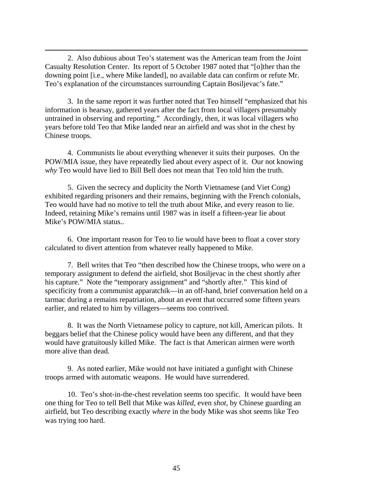2. Also dubious about Teo's statement was the American team from the Joint Casualty Resolution Center. Its report of 5 October 1987 noted that "[o]ther than the downing point [i.e., where Mike landed], no available data can confirm or refute Mr. Teo's explanation of the circumstances surrounding Captain Bosiljevac's fate."

<span id="page-44-0"></span> $\overline{a}$ 

3. In the same report it was further noted that Teo himself "emphasized that his information is hearsay, gathered years after the fact from local villagers presumably untrained in observing and reporting." Accordingly, then, it was local villagers who years before told Teo that Mike landed near an airfield and was shot in the chest by Chinese troops.

4. Communists lie about everything whenever it suits their purposes. On the POW/MIA issue, they have repeatedly lied about every aspect of it. Our not knowing *why* Teo would have lied to Bill Bell does not mean that Teo told him the truth.

5. Given the secrecy and duplicity the North Vietnamese (and Viet Cong) exhibited regarding prisoners and their remains, beginning with the French colonials, Teo would have had no motive to tell the truth about Mike, and every reason to lie. Indeed, retaining Mike's remains until 1987 was in itself a fifteen-year lie about Mike's POW/MIA status..

6. One important reason for Teo to lie would have been to float a cover story calculated to divert attention from whatever really happened to Mike.

7. Bell writes that Teo "then described how the Chinese troops, who were on a temporary assignment to defend the airfield, shot Bosiljevac in the chest shortly after his capture." Note the "temporary assignment" and "shortly after." This kind of specificity from a communist apparatchik—in an off-hand, brief conversation held on a tarmac during a remains repatriation, about an event that occurred some fifteen years earlier, and related to him by villagers—seems too contrived.

8. It was the North Vietnamese policy to capture, not kill, American pilots. It beggars belief that the Chinese policy would have been any different, and that they would have gratuitously killed Mike. The fact is that American airmen were worth more alive than dead.

9. As noted earlier, Mike would not have initiated a gunfight with Chinese troops armed with automatic weapons. He would have surrendered.

10. Teo's shot-in-the-chest revelation seems too specific. It would have been one thing for Teo to tell Bell that Mike was *killed*, even *shot*, by Chinese guarding an airfield, but Teo describing exactly *where* in the body Mike was shot seems like Teo was trying too hard.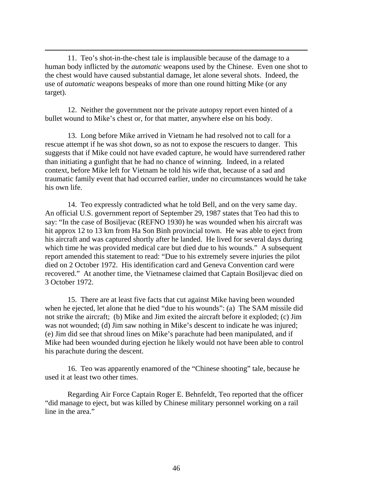11. Teo's shot-in-the-chest tale is implausible because of the damage to a human body inflicted by the *automatic* weapons used by the Chinese. Even one shot to the chest would have caused substantial damage, let alone several shots. Indeed, the use of *automatic* weapons bespeaks of more than one round hitting Mike (or any target).

<span id="page-45-0"></span> $\overline{a}$ 

12. Neither the government nor the private autopsy report even hinted of a bullet wound to Mike's chest or, for that matter, anywhere else on his body.

13. Long before Mike arrived in Vietnam he had resolved not to call for a rescue attempt if he was shot down, so as not to expose the rescuers to danger. This suggests that if Mike could not have evaded capture, he would have surrendered rather than initiating a gunfight that he had no chance of winning. Indeed, in a related context, before Mike left for Vietnam he told his wife that, because of a sad and traumatic family event that had occurred earlier, under no circumstances would he take his own life.

14. Teo expressly contradicted what he told Bell, and on the very same day. An official U.S. government report of September 29, 1987 states that Teo had this to say: "In the case of Bosiljevac (REFNO 1930) he was wounded when his aircraft was hit approx 12 to 13 km from Ha Son Binh provincial town. He was able to eject from his aircraft and was captured shortly after he landed. He lived for several days during which time he was provided medical care but died due to his wounds." A subsequent report amended this statement to read: "Due to his extremely severe injuries the pilot died on 2 October 1972. His identification card and Geneva Convention card were recovered." At another time, the Vietnamese claimed that Captain Bosiljevac died on 3 October 1972.

15. There are at least five facts that cut against Mike having been wounded when he ejected, let alone that he died "due to his wounds": (a) The SAM missile did not strike the aircraft; (b) Mike and Jim exited the aircraft before it exploded; (c) Jim was not wounded; (d) Jim saw nothing in Mike's descent to indicate he was injured; (e) Jim did see that shroud lines on Mike's parachute had been manipulated, and if Mike had been wounded during ejection he likely would not have been able to control his parachute during the descent.

16. Teo was apparently enamored of the "Chinese shooting" tale, because he used it at least two other times.

Regarding Air Force Captain Roger E. Behnfeldt, Teo reported that the officer "did manage to eject, but was killed by Chinese military personnel working on a rail line in the area."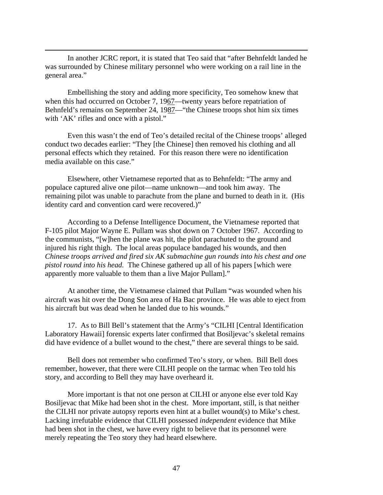In another JCRC report, it is stated that Teo said that "after Behnfeldt landed he was surrounded by Chinese military personnel who were working on a rail line in the general area."

 $\overline{a}$ 

Embellishing the story and adding more specificity, Teo somehow knew that when this had occurred on October 7, 1967—twenty years before repatriation of Behnfeld's remains on September 24, 1987—"the Chinese troops shot him six times with 'AK' rifles and once with a pistol."

Even this wasn't the end of Teo's detailed recital of the Chinese troops' alleged conduct two decades earlier: "They [the Chinese] then removed his clothing and all personal effects which they retained. For this reason there were no identification media available on this case."

Elsewhere, other Vietnamese reported that as to Behnfeldt: "The army and populace captured alive one pilot—name unknown—and took him away. The remaining pilot was unable to parachute from the plane and burned to death in it. (His identity card and convention card were recovered.)"

According to a Defense Intelligence Document, the Vietnamese reported that F-105 pilot Major Wayne E. Pullam was shot down on 7 October 1967. According to the communists, "[w]hen the plane was hit, the pilot parachuted to the ground and injured his right thigh. The local areas populace bandaged his wounds, and then *Chinese troops arrived and fired six AK submachine gun rounds into his chest and one pistol round into his head.* The Chinese gathered up all of his papers [which were apparently more valuable to them than a live Major Pullam]."

At another time, the Vietnamese claimed that Pullam "was wounded when his aircraft was hit over the Dong Son area of Ha Bac province. He was able to eject from his aircraft but was dead when he landed due to his wounds."

 17. As to Bill Bell's statement that the Army's "CILHI [Central Identification Laboratory Hawaii] forensic experts later confirmed that Bosiljevac's skeletal remains did have evidence of a bullet wound to the chest," there are several things to be said.

Bell does not remember who confirmed Teo's story, or when. Bill Bell does remember, however, that there were CILHI people on the tarmac when Teo told his story, and according to Bell they may have overheard it.

More important is that not one person at CILHI or anyone else ever told Kay Bosiljevac that Mike had been shot in the chest. More important, still, is that neither the CILHI nor private autopsy reports even hint at a bullet wound(s) to Mike's chest. Lacking irrefutable evidence that CILHI possessed *independent* evidence that Mike had been shot in the chest, we have every right to believe that its personnel were merely repeating the Teo story they had heard elsewhere.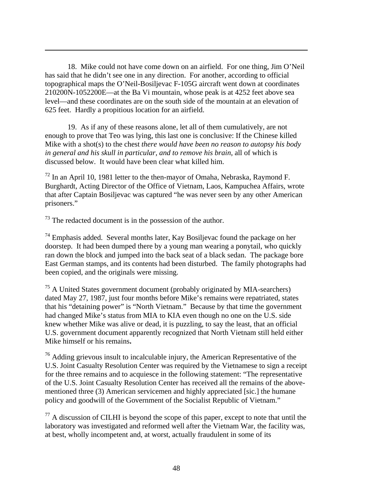18. Mike could not have come down on an airfield. For one thing, Jim O'Neil has said that he didn't see one in any direction. For another, according to official topographical maps the O'Neil-Bosiljevac F-105G aircraft went down at coordinates 210200N-1052200E—at the Ba Vi mountain, whose peak is at 4252 feet above sea level—and these coordinates are on the south side of the mountain at an elevation of 625 feet. Hardly a propitious location for an airfield.

 19. As if any of these reasons alone, let all of them cumulatively, are not enough to prove that Teo was lying, this last one is conclusive: If the Chinese killed Mike with a shot(s) to the chest *there would have been no reason to autopsy his body in general and his skull in particular, and to remove his brain*, all of which is discussed below.It would have been clear what killed him.

 $72$  In an April 10, 1981 letter to the then-mayor of Omaha, Nebraska, Raymond F. Burghardt, Acting Director of the Office of Vietnam, Laos, Kampuchea Affairs, wrote that after Captain Bosiljevac was captured "he was never seen by any other American prisoners."

 $73$  The redacted document is in the possession of the author.

 $\overline{a}$ 

 $74$  Emphasis added. Several months later, Kay Bosiljevac found the package on her doorstep. It had been dumped there by a young man wearing a ponytail, who quickly ran down the block and jumped into the back seat of a black sedan. The package bore East German stamps, and its contents had been disturbed. The family photographs had been copied, and the originals were missing.

 $75$  A United States government document (probably originated by MIA-searchers) dated May 27, 1987, just four months before Mike's remains were repatriated, states that his "detaining power" is "North Vietnam." Because by that time the government had changed Mike's status from MIA to KIA even though no one on the U.S. side knew whether Mike was alive or dead, it is puzzling, to say the least, that an official U.S. government document apparently recognized that North Vietnam still held either Mike himself or his remains**.** 

 $76$  Adding grievous insult to incalculable injury, the American Representative of the U.S. Joint Casualty Resolution Center was required by the Vietnamese to sign a receipt for the three remains and to acquiesce in the following statement: "The representative of the U.S. Joint Casualty Resolution Center has received all the remains of the abovementioned three (3) American servicemen and highly appreciated [sic.] the humane policy and goodwill of the Government of the Socialist Republic of Vietnam."

 $^{77}$  A discussion of CILHI is beyond the scope of this paper, except to note that until the laboratory was investigated and reformed well after the Vietnam War, the facility was, at best, wholly incompetent and, at worst, actually fraudulent in some of its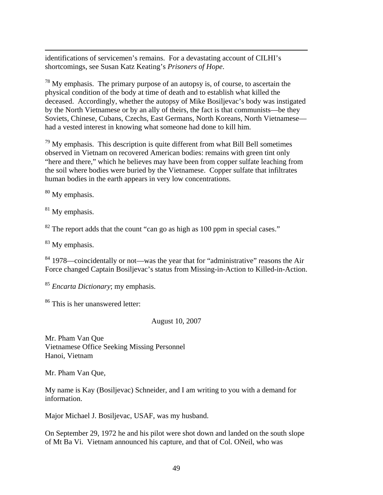identifications of servicemen's remains. For a devastating account of CILHI's shortcomings, see Susan Katz Keating's *Prisoners of Hope*.

 $78$  My emphasis. The primary purpose of an autopsy is, of course, to ascertain the physical condition of the body at time of death and to establish what killed the deceased. Accordingly, whether the autopsy of Mike Bosiljevac's body was instigated by the North Vietnamese or by an ally of theirs, the fact is that communists—be they Soviets, Chinese, Cubans, Czechs, East Germans, North Koreans, North Vietnamese had a vested interest in knowing what someone had done to kill him.

 $79$  My emphasis. This description is quite different from what Bill Bell sometimes observed in Vietnam on recovered American bodies: remains with green tint only "here and there," which he believes may have been from copper sulfate leaching from the soil where bodies were buried by the Vietnamese. Copper sulfate that infiltrates human bodies in the earth appears in very low concentrations.

80 My emphasis.

 $\overline{a}$ 

 $81$  My emphasis.

 $82$  The report adds that the count "can go as high as 100 ppm in special cases."

<sup>83</sup> My emphasis.

84 1978—coincidentally or not—was the year that for "administrative" reasons the Air Force changed Captain Bosiljevac's status from Missing-in-Action to Killed-in-Action.

<sup>85</sup> *Encarta Dictionary*; my emphasis.

86 This is her unanswered letter:

August 10, 2007

Mr. Pham Van Que Vietnamese Office Seeking Missing Personnel Hanoi, Vietnam

Mr. Pham Van Que,

My name is Kay (Bosiljevac) Schneider, and I am writing to you with a demand for information.

Major Michael J. Bosiljevac, USAF, was my husband.

On September 29, 1972 he and his pilot were shot down and landed on the south slope of Mt Ba Vi. Vietnam announced his capture, and that of Col. ONeil, who was